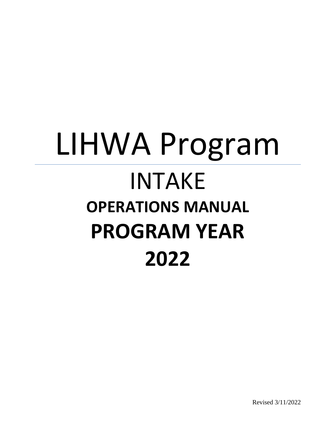# LIHWA Program INTAKE **OPERATIONS MANUAL PROGRAM YEAR 2022**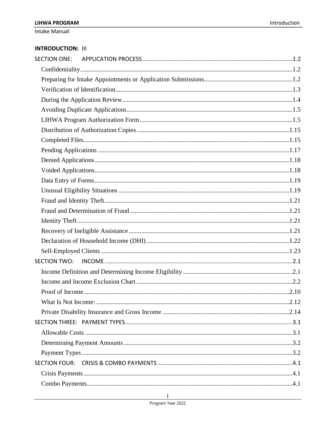| <b>INTRODUCTION: III</b> |  |
|--------------------------|--|
| <b>SECTION ONE:</b>      |  |
|                          |  |
|                          |  |
|                          |  |
|                          |  |
|                          |  |
|                          |  |
|                          |  |
|                          |  |
|                          |  |
|                          |  |
|                          |  |
|                          |  |
|                          |  |
|                          |  |
|                          |  |
|                          |  |
|                          |  |
|                          |  |
|                          |  |
|                          |  |
|                          |  |
|                          |  |
|                          |  |
|                          |  |
|                          |  |
|                          |  |
|                          |  |
|                          |  |
|                          |  |
|                          |  |
|                          |  |
|                          |  |
|                          |  |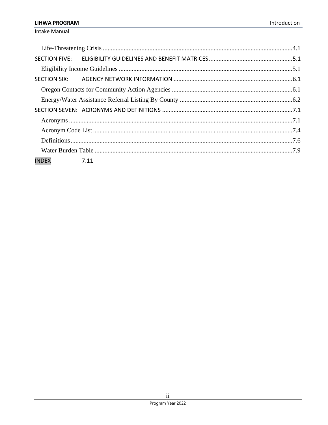### **LIHWA PROGRAM**

| <b>INDEX</b><br>7.11 |  |
|----------------------|--|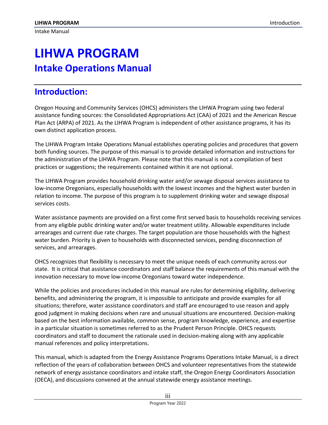## **LIHWA PROGRAM Intake Operations Manual**

## <span id="page-3-0"></span>**Introduction:**

Oregon Housing and Community Services (OHCS) administers the LIHWA Program using two federal assistance funding sources: the Consolidated Appropriations Act (CAA) of 2021 and the American Rescue Plan Act (ARPA) of 2021. As the LIHWA Program is independent of other assistance programs, it has its own distinct application process.

The LIHWA Program Intake Operations Manual establishes operating policies and procedures that govern both funding sources. The purpose of this manual is to provide detailed information and instructions for the administration of the LIHWA Program. Please note that this manual is not a compilation of best practices or suggestions; the requirements contained within it are not optional.

The LIHWA Program provides household drinking water and/or sewage disposal services assistance to low-income Oregonians, especially households with the lowest incomes and the highest water burden in relation to income. The purpose of this program is to supplement drinking water and sewage disposal services costs.

Water assistance payments are provided on a first come first served basis to households receiving services from any eligible public drinking water and/or water treatment utility. Allowable expenditures include arrearages and current due rate charges. The target population are those households with the highest water burden. Priority is given to households with disconnected services, pending disconnection of services, and arrearages.

OHCS recognizes that flexibility is necessary to meet the unique needs of each community across our state. It is critical that assistance coordinators and staff balance the requirements of this manual with the innovation necessary to move low-income Oregonians toward water independence.

While the policies and procedures included in this manual are rules for determining eligibility, delivering benefits, and administering the program, it is impossible to anticipate and provide examples for all situations; therefore, water assistance coordinators and staff are encouraged to use reason and apply good judgment in making decisions when rare and unusual situations are encountered. Decision-making based on the best information available, common sense, program knowledge, experience, and expertise in a particular situation is sometimes referred to as the Prudent Person Principle. OHCS requests coordinators and staff to document the rationale used in decision-making along with any applicable manual references and policy interpretations.

This manual, which is adapted from the Energy Assistance Programs Operations Intake Manual, is a direct reflection of the years of collaboration between OHCS and volunteer representatives from the statewide network of energy assistance coordinators and intake staff, the Oregon Energy Coordinators Association (OECA), and discussions convened at the annual statewide energy assistance meetings.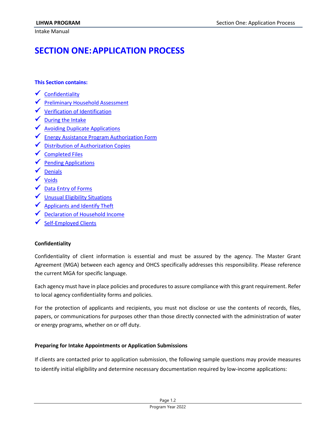## <span id="page-5-0"></span>**SECTION ONE:APPLICATION PROCESS**

### **This Section contains:**

- ✓ [Confidentiality](#page-5-1)
- ◆ [Preliminary Household Assessment](#page-5-2)
- ✓ [Verification of Identification](#page-6-0)
- $\sqrt{\phantom{a}}$  [During the Intake](#page-7-0)
- ◆ [Avoiding Duplicate Applications](#page-8-0)
- ✓ [Energy Assistance Program Authorization Form](#page-8-1)
- ✓ [Distribution of Authorization Copies](#page-18-0)
- ✓ [Completed Files](#page-18-1)
- $\sqrt{\phantom{a}}$  [Pending Applications](#page-20-0)
- **[Denials](#page-21-2)**
- **[Voids](#page-21-1)**
- ◆ [Data Entry of Forms](#page-22-0)
- **[Unusual Eligibility Situations](#page-22-1)**
- ✓ [Applicants and Identify Theft](#page-24-0)
- ✓ [Declaration of Household Income](#page-25-0)
- <span id="page-5-1"></span>✓ [Self-Employed Clients](#page-26-0)

### **Confidentiality**

Confidentiality of client information is essential and must be assured by the agency. The Master Grant Agreement (MGA) between each agency and OHCS specifically addresses this responsibility. Please reference the current MGA for specific language.

Each agency must have in place policies and procedures to assure compliance with this grant requirement. Refer to local agency confidentiality forms and policies.

For the protection of applicants and recipients, you must not disclose or use the contents of records, files, papers, or communications for purposes other than those directly connected with the administration of water or energy programs, whether on or off duty.

### <span id="page-5-2"></span>**Preparing for Intake Appointments or Application Submissions**

If clients are contacted prior to application submission, the following sample questions may provide measures to identify initial eligibility and determine necessary documentation required by low-income applications: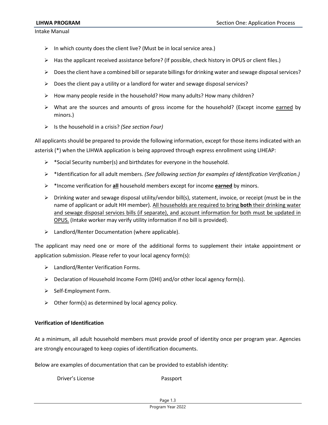- ➢ In which county does the client live? (Must be in local service area.)
- ➢ Has the applicant received assistance before? (If possible, check history in OPUS or client files.)
- $\triangleright$  Does the client have a combined bill or separate billings for drinking water and sewage disposal services?
- $\triangleright$  Does the client pay a utility or a landlord for water and sewage disposal services?
- ➢ How many people reside in the household? How many adults? How many children?
- ➢ What are the sources and amounts of gross income for the household? (Except income earned by minors.)
- ➢ Is the household in a crisis? *(See section Four)*

All applicants should be prepared to provide the following information, except for those items indicated with an asterisk (\*) when the LIHWA application is being approved through express enrollment using LIHEAP:

- $\triangleright$  \*Social Security number(s) and birthdates for everyone in the household.
- ➢ \*Identification for all adult members. *(See following section for examples of Identification Verification.)*
- ➢ \*Income verification for **all** household members except for income **earned** by minors.
- ➢ Drinking water and sewage disposal utility/vendor bill(s), statement, invoice, or receipt (must be in the name of applicant or adult HH member). All households are required to bring **both** their drinking water and sewage disposal services bills (if separate), and account information for both must be updated in OPUS. (Intake worker may verify utility information if no bill is provided).
- ➢ Landlord/Renter Documentation (where applicable).

The applicant may need one or more of the additional forms to supplement their intake appointment or application submission. Please refer to your local agency form(s):

- ➢ Landlord/Renter Verification Forms.
- $\triangleright$  Declaration of Household Income Form (DHI) and/or other local agency form(s).
- ➢ Self-Employment Form.
- $\triangleright$  Other form(s) as determined by local agency policy.

### <span id="page-6-0"></span>**Verification of Identification**

At a minimum, all adult household members must provide proof of identity once per program year. Agencies are strongly encouraged to keep copies of identification documents.

Below are examples of documentation that can be provided to establish identity:

Driver's License Passport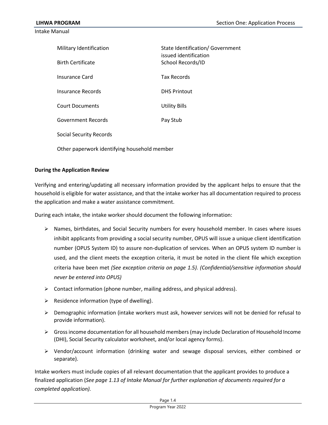| Military Identification<br><b>Birth Certificate</b> | State Identification/ Government<br>issued identification<br>School Records/ID |  |  |  |  |  |  |
|-----------------------------------------------------|--------------------------------------------------------------------------------|--|--|--|--|--|--|
|                                                     |                                                                                |  |  |  |  |  |  |
| <b>Insurance Card</b>                               | Tax Records                                                                    |  |  |  |  |  |  |
| Insurance Records                                   | <b>DHS Printout</b>                                                            |  |  |  |  |  |  |
| <b>Court Documents</b>                              | <b>Utility Bills</b>                                                           |  |  |  |  |  |  |
| <b>Government Records</b>                           | Pay Stub                                                                       |  |  |  |  |  |  |
| <b>Social Security Records</b>                      |                                                                                |  |  |  |  |  |  |
|                                                     |                                                                                |  |  |  |  |  |  |

<span id="page-7-0"></span>**During the Application Review**

Verifying and entering/updating all necessary information provided by the applicant helps to ensure that the household is eligible for water assistance, and that the intake worker has all documentation required to process the application and make a water assistance commitment.

During each intake, the intake worker should document the following information:

Other paperwork identifying household member

- ➢ Names, birthdates, and Social Security numbers for every household member. In cases where issues inhibit applicants from providing a social security number, OPUS will issue a unique client identification number (OPUS System ID) to assure non-duplication of services. When an OPUS system ID number is used, and the client meets the exception criteria, it must be noted in the client file which exception criteria have been met *(See exception criteria on page 1.5). (Confidential/sensitive information should never be entered into OPUS)*
- ➢ Contact information (phone number, mailing address, and physical address).
- $\triangleright$  Residence information (type of dwelling).
- ➢ Demographic information (intake workers must ask, however services will not be denied for refusal to provide information).
- $\triangleright$  Gross income documentation for all household members (may include Declaration of Household Income (DHI), Social Security calculator worksheet, and/or local agency forms).
- ➢ Vendor/account information (drinking water and sewage disposal services, either combined or separate).

Intake workers must include copies of all relevant documentation that the applicant provides to produce a finalized application (*See page 1.13 of Intake Manual for further explanation of documents required for a completed application).*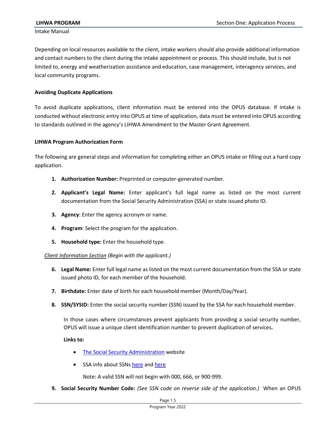Depending on local resources available to the client, intake workers should also provide additional information and contact numbers to the client during the intake appointment or process. This should include, but is not limited to, energy and weatherization assistance and education, case management, interagency services, and local community programs.

### <span id="page-8-0"></span>**Avoiding Duplicate Applications**

To avoid duplicate applications, client information must be entered into the OPUS database. If intake is conducted without electronic entry into OPUS at time of application, data must be entered into OPUS according to standards outlined in the agency's LIHWA Amendment to the Master Grant Agreement.

### <span id="page-8-1"></span>**LIHWA Program Authorization Form**

The following are general steps and information for completing either an OPUS intake or filling out a hard copy application.

- **1. Authorization Number:** Preprinted or computer-generated number.
- **2. Applicant's Legal Name:** Enter applicant's full legal name as listed on the most current documentation from the Social Security Administration (SSA) or state issued photo ID.
- **3. Agency**: Enter the agency acronym or name.
- **4. Program**: Select the program for the application.
- **5. Household type:** Enter the household type.

### *Client Information Section (Begin with the applicant.)*

- **6. Legal Name:** Enter full legal name as listed on the most current documentation from the SSA or state issued photo ID, for each member of the household.
- **7. Birthdate:** Enter date of birth for each household member (Month/Day/Year).
- **8. SSN/SYSID:** Enter the social security number (SSN) issued by the SSA for each household member.

In those cases where circumstances prevent applicants from providing a social security number, OPUS will issue a unique client identification number to prevent duplication of services**.** 

### **Links to:**

- [The Social Security Administration](http://www.ssa.gov/) website
- SSA info about SSNs [here](http://www.socialsecurity.gov/employer/stateweb.htm) and [here](http://www.socialsecurity.gov/employer/randomization.html)

Note: A valid SSN will not begin with 000, 666, or 900-999.

**9. Social Security Number Code:** *(See SSN code on reverse side of the application.)* When an OPUS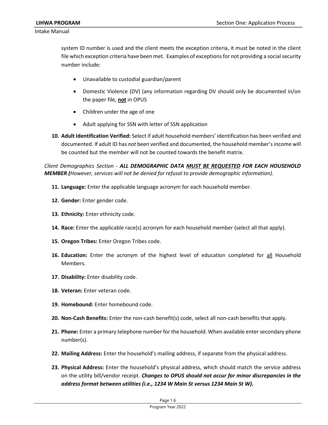system ID number is used and the client meets the exception criteria, it must be noted in the client file which exception criteria have been met. Examples of exceptions for not providing a social security number include:

- Unavailable to custodial guardian/parent
- Domestic Violence (DV) (any information regarding DV should only be documented in/on the paper file, **not** in OPUS
- Children under the age of one
- Adult applying for SSN with letter of SSN application
- **10. Adult Identification Verified:** Select if adult household members' identification has been verified and documented. If adult ID has *not* been verified and documented, the household member's income will be counted but the member will not be counted towards the benefit matrix.

*Client Demographics Section - ALL DEMOGRAPHIC DATA MUST BE REQUESTED FOR EACH HOUSEHOLD MEMBER (However, services will not be denied for refusal to provide demographic information).*

- **11. Language:** Enter the applicable language acronym for each household member.
- **12. Gender:** Enter gender code.
- **13. Ethnicity:** Enter ethnicity code.
- **14. Race:** Enter the applicable race(s) acronym for each household member (select all that apply).
- **15. Oregon Tribes:** Enter Oregon Tribes code.
- **16. Education:** Enter the acronym of the highest level of education completed for all Household Members.
- **17. Disability:** Enter disability code.
- **18. Veteran:** Enter veteran code.
- **19. Homebound:** Enter homebound code.
- **20. Non-Cash Benefits:** Enter the non-cash benefit(s) code, select all non-cash benefits that apply.
- **21. Phone:** Enter a primary telephone number for the household. When available enter secondary phone number(s).
- **22. Mailing Address:** Enter the household's mailing address, if separate from the physical address.
- **23. Physical Address:** Enter the household's physical address, which should match the service address on the utility bill/vendor receipt. *Changes to OPUS should not occur for minor discrepancies in the address format between utilities (i.e., 1234 W Main St versus 1234 Main St W).*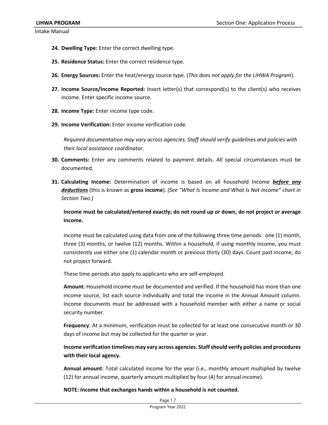- **24. Dwelling Type:** Enter the correct dwelling type.
- **25. Residence Status:** Enter the correct residence type.
- **26. Energy Sources:** Enter the heat/energy source type. (*This does not apply for the LIHWA Program*).
- **27. Income Source/Income Reported:** Insert letter(s) that correspond(s) to the client(s) who receives income. Enter specific income source.
- **28. Income Type:** Enter income type code.
- **29. Income Verification:** Enter income verification code.

*Required documentation may vary across agencies. Staff should verify guidelines and policies with their local assistance coordinator.*

- **30. Comments:** Enter any comments related to payment details. All special circumstances must be documented.
- **31. Calculating Income:** Determination of income is based on all household income *before any deductions* (this is known as **gross income**). *(See "What Is Income and What Is Not Income" chart in Section Two.)*

**Income must be calculated/entered exactly; do not round up or down, do not project or average income.**

Income must be calculated using data from one of the following three time periods: one (1) month, three (3) months, or twelve (12) months. Within a household, if using monthly income, you must consistently use either one (1) calendar month or previous thirty (30) days. Count past income, do not project forward.

These time periods also apply to applicants who are self-employed.

**Amount**: Household income must be documented and verified. If the household has more than one income source, list each source individually and total the income in the Annual Amount column. Income documents must be addressed with a household member with either a name or social security number.

**Frequency**: At a minimum, verification must be collected for at least one consecutive month or 30 days of income but may be collected for the quarter or year.

**Income verification timelines may vary across agencies. Staff should verify policies and procedures with their local agency.**

**Annual amount**: Total calculated income for the year (i.e., monthly amount multiplied by twelve (12) for annual income, quarterly amount multiplied by four (4) for annual income).

### **NOTE: Income that exchanges hands within a household is not counted.**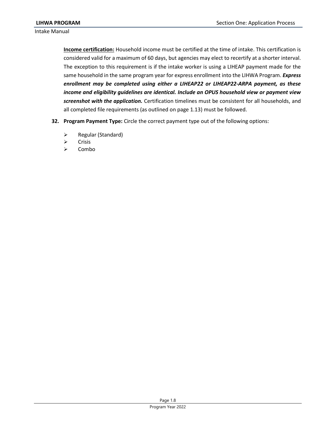**Income certification:** Household income must be certified at the time of intake. This certification is considered valid for a maximum of 60 days, but agencies may elect to recertify at a shorter interval. The exception to this requirement is if the intake worker is using a LIHEAP payment made for the same household in the same program year for express enrollment into the LIHWA Program. *Express enrollment may be completed using either a LIHEAP22 or LIHEAP22-ARPA payment, as these income and eligibility guidelines are identical. Include an OPUS household view or payment view screenshot with the application.* Certification timelines must be consistent for all households, and all completed file requirements (as outlined on page 1.13) must be followed.

- **32. Program Payment Type:** Circle the correct payment type out of the following options:
	- ➢ Regular (Standard)
	- ➢ Crisis
	- ➢ Combo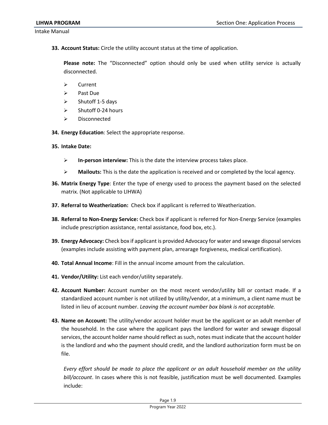**33. Account Status:** Circle the utility account status at the time of application.

**Please note:** The "Disconnected" option should only be used when utility service is actually disconnected.

- ➢ Current
- ➢ Past Due
- $\triangleright$  Shutoff 1-5 days
- $\triangleright$  Shutoff 0-24 hours
- ➢ Disconnected

**34. Energy Education**: Select the appropriate response.

- **35. Intake Date:** 
	- ➢ **In-person interview:** This is the date the interview process takes place.
	- ➢ **Mailouts:** This is the date the application is received and or completed by the local agency.
- **36. Matrix Energy Type**: Enter the type of energy used to process the payment based on the selected matrix. (Not applicable to LIHWA)
- **37. Referral to Weatherization:** Check box if applicant is referred to Weatherization.
- **38. Referral to Non-Energy Service:** Check box if applicant is referred for Non-Energy Service (examples include prescription assistance, rental assistance, food box, etc.).
- **39. Energy Advocacy:** Check box if applicant is provided Advocacy for water and sewage disposalservices (examples include assisting with payment plan, arrearage forgiveness, medical certification).
- **40. Total Annual Income**: Fill in the annual income amount from the calculation.
- **41. Vendor/Utility:** List each vendor/utility separately.
- **42. Account Number:** Account number on the most recent vendor/utility bill or contact made. If a standardized account number is not utilized by utility/vendor, at a minimum, a client name must be listed in lieu of account number. *Leaving the account number box blank is not acceptable.*
- **43. Name on Account:** The utility/vendor account holder must be the applicant or an adult member of the household. In the case where the applicant pays the landlord for water and sewage disposal services, the account holder name should reflect as such, notes must indicate that the account holder is the landlord and who the payment should credit, and the landlord authorization form must be on file.

*Every effort should be made to place the applicant or an adult household member on the utility bill/account*. In cases where this is not feasible, justification must be well documented. Examples include: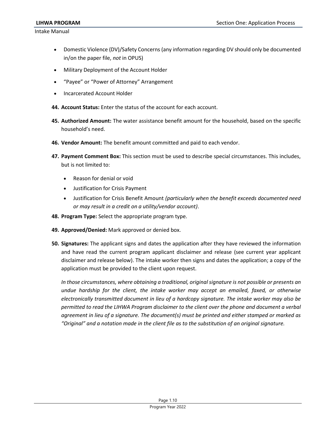- Domestic Violence (DV)/Safety Concerns (any information regarding DV should only be documented in/on the paper file, *not* in OPUS)
- Military Deployment of the Account Holder
- "Payee" or "Power of Attorney" Arrangement
- Incarcerated Account Holder
- **44. Account Status:** Enter the status of the account for each account.
- **45. Authorized Amount:** The water assistance benefit amount for the household, based on the specific household's need.
- **46. Vendor Amount:** The benefit amount committed and paid to each vendor.
- **47. Payment Comment Box:** This section must be used to describe special circumstances. This includes, but is not limited to:
	- Reason for denial or void
	- Justification for Crisis Payment
	- Justification for Crisis Benefit Amount *(particularly when the benefit exceeds documented need or may result in a credit on a utility/vendor account)*.
- **48. Program Type:** Select the appropriate program type.
- **49. Approved/Denied:** Mark approved or denied box.
- **50. Signatures:** The applicant signs and dates the application after they have reviewed the information and have read the current program applicant disclaimer and release (see current year applicant disclaimer and release below). The intake worker then signs and dates the application; a copy of the application must be provided to the client upon request.

*In those circumstances, where obtaining a traditional, original signature is not possible or presents an undue hardship for the client, the intake worker may accept an emailed, faxed, or otherwise electronically transmitted document in lieu of a hardcopy signature. The intake worker may also be permitted to read the LIHWA Program disclaimer to the client over the phone and document a verbal agreement in lieu of a signature. The document(s) must be printed and either stamped or marked as "Original" and a notation made in the client file as to the substitution of an original signature.*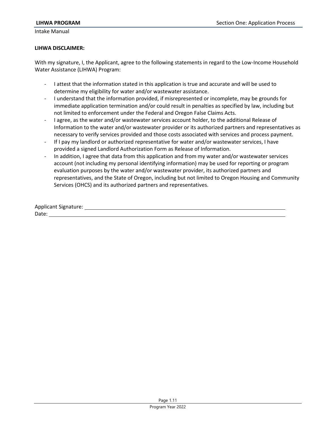### **LIHWA DISCLAIMER:**

With my signature, I, the Applicant, agree to the following statements in regard to the Low-Income Household Water Assistance (LIHWA) Program:

- I attest that the information stated in this application is true and accurate and will be used to determine my eligibility for water and/or wastewater assistance.
- I understand that the information provided, if misrepresented or incomplete, may be grounds for immediate application termination and/or could result in penalties as specified by law, including but not limited to enforcement under the Federal and Oregon False Claims Acts.
- I agree, as the water and/or wastewater services account holder, to the additional Release of Information to the water and/or wastewater provider or its authorized partners and representatives as necessary to verify services provided and those costs associated with services and process payment.
- If I pay my landlord or authorized representative for water and/or wastewater services, I have provided a signed Landlord Authorization Form as Release of Information.
- In addition, I agree that data from this application and from my water and/or wastewater services account (not including my personal identifying information) may be used for reporting or program evaluation purposes by the water and/or wastewater provider, its authorized partners and representatives, and the State of Oregon, including but not limited to Oregon Housing and Community Services (OHCS) and its authorized partners and representatives.

| <b>Applicant Signature:</b> |  |
|-----------------------------|--|
| Date:                       |  |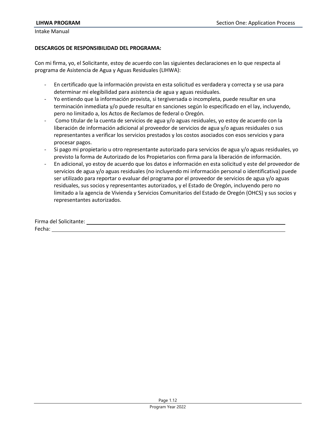### **DESCARGOS DE RESPONSIBILIDAD DEL PROGRAMA:**

Con mi firma, yo, el Solicitante, estoy de acuerdo con las siguientes declaraciones en lo que respecta al programa de Asistencia de Agua y Aguas Residuales (LIHWA):

- En certificado que la información provista en esta solicitud es verdadera y correcta y se usa para determinar mi elegibilidad para asistencia de agua y aguas residuales.
- Yo entiendo que la información provista, si tergiversada o incompleta, puede resultar en una terminación inmediata y/o puede resultar en sanciones según lo especificado en el lay, incluyendo, pero no limitado a, los Actos de Reclamos de federal o Oregón.
- Como titular de la cuenta de servicios de agua y/o aguas residuales, yo estoy de acuerdo con la liberación de información adicional al proveedor de servicios de agua y/o aguas residuales o sus representantes a verificar los servicios prestados y los costos asociados con esos servicios y para procesar pagos.
- Si pago mi propietario u otro representante autorizado para servicios de agua y/o aguas residuales, yo previsto la forma de Autorizado de los Propietarios con firma para la liberación de información.
- En adicional, yo estoy de acuerdo que los datos e información en esta solicitud y este del proveedor de servicios de agua y/o aguas residuales (no incluyendo mi información personal o identificativa) puede ser utilizado para reportar o evaluar del programa por el proveedor de servicios de agua y/o aguas residuales, sus socios y representantes autorizados, y el Estado de Oregón, incluyendo pero no limitado a la agencia de Vivienda y Servicios Comunitarios del Estado de Oregón (OHCS) y sus socios y representantes autorizados.

| Firma del Solicitante: |  |
|------------------------|--|
| Fecha:                 |  |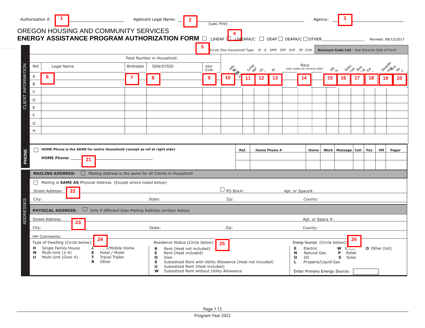| Authorization #:             |                                                                                                                                                                              |             | Applicant Legal Name:                                                                                                                                                                                                                                                               |             | (Last, First)   |      |           |              |                                                   |                                                                                       | Agency: |                                                                                            |                 |                |        |                                        |
|------------------------------|------------------------------------------------------------------------------------------------------------------------------------------------------------------------------|-------------|-------------------------------------------------------------------------------------------------------------------------------------------------------------------------------------------------------------------------------------------------------------------------------------|-------------|-----------------|------|-----------|--------------|---------------------------------------------------|---------------------------------------------------------------------------------------|---------|--------------------------------------------------------------------------------------------|-----------------|----------------|--------|----------------------------------------|
|                              | OREGON HOUSING AND COMMUNITY SERVICES<br>ENERGY ASSISTANCE PROGRAM AUTHORIZATION FORM <b>DELITE APALAPAC DI OF APALAPA/C</b> DOTHER                                          |             |                                                                                                                                                                                                                                                                                     |             |                 |      |           |              |                                                   |                                                                                       |         |                                                                                            |                 |                |        | Revised: 09/12/2017                    |
|                              |                                                                                                                                                                              |             |                                                                                                                                                                                                                                                                                     | 5           |                 |      |           |              | Circle One Household Type: M S SPM SPF EXF 2P COH |                                                                                       |         | Acronym Code List - See Reverse Side of Form                                               |                 |                |        |                                        |
|                              |                                                                                                                                                                              |             | Total Number in Household:                                                                                                                                                                                                                                                          |             |                 |      |           |              |                                                   |                                                                                       |         |                                                                                            |                 |                |        |                                        |
| Ref.                         | Legal Name                                                                                                                                                                   | Birthdate   | SSN/SYSID                                                                                                                                                                                                                                                                           | SSN<br>Code |                 |      | vange ce. | $\diamond$   | (see codes on reverse side)                       | Race                                                                                  |         | $\sigma_{\infty}^{\infty}$                                                                 | Faulon Disc Jet |                | Homebo | undon<br>$\mathcal{R}^{\mathcal{C}}$ s |
| CLIENT INFORMATION<br>Α<br>B | 6                                                                                                                                                                            |             | 8                                                                                                                                                                                                                                                                                   | 9           | 10              | 11   | 12        | 13           |                                                   |                                                                                       | 15      | 16                                                                                         | 17              | 18             | 19     | 20                                     |
| $\mathsf C$                  |                                                                                                                                                                              |             |                                                                                                                                                                                                                                                                                     |             |                 |      |           |              |                                                   |                                                                                       |         |                                                                                            |                 |                |        |                                        |
| D                            |                                                                                                                                                                              |             |                                                                                                                                                                                                                                                                                     |             |                 |      |           |              |                                                   |                                                                                       |         |                                                                                            |                 |                |        |                                        |
| $\mathsf E$                  |                                                                                                                                                                              |             |                                                                                                                                                                                                                                                                                     |             |                 |      |           |              |                                                   |                                                                                       |         |                                                                                            |                 |                |        |                                        |
| F                            |                                                                                                                                                                              |             |                                                                                                                                                                                                                                                                                     |             |                 |      |           |              |                                                   |                                                                                       |         |                                                                                            |                 |                |        |                                        |
| G                            |                                                                                                                                                                              |             |                                                                                                                                                                                                                                                                                     |             |                 |      |           |              |                                                   |                                                                                       |         |                                                                                            |                 |                |        |                                        |
| H                            |                                                                                                                                                                              |             |                                                                                                                                                                                                                                                                                     |             |                 |      |           |              |                                                   |                                                                                       |         |                                                                                            |                 |                |        |                                        |
| $\Box$<br>ш<br>PHON          | HOME Phone is the SAME for entire Household (except as ref at right side)<br>HOME Phone: _<br>21                                                                             |             |                                                                                                                                                                                                                                                                                     |             |                 | Ref. |           | Home Phone # |                                                   | Home                                                                                  |         | Work   Message   Cell                                                                      |                 | Fax            | VM     | Pager                                  |
|                              | <b>MAILING ADDRESS:</b>                                                                                                                                                      |             | $\Box$ Mailing Address is the same for all Clients in Household                                                                                                                                                                                                                     |             |                 |      |           |              |                                                   |                                                                                       |         |                                                                                            |                 |                |        |                                        |
|                              | $\Box$ Mailing is <b>SAME AS</b> Physical Address (Except where noted below)                                                                                                 |             |                                                                                                                                                                                                                                                                                     |             |                 |      |           |              |                                                   |                                                                                       |         |                                                                                            |                 |                |        |                                        |
|                              | Street Address:<br>22                                                                                                                                                        |             |                                                                                                                                                                                                                                                                                     |             | $\Box$ PO Box#: |      |           |              | Apt. or Space#:                                   |                                                                                       |         |                                                                                            |                 |                |        |                                        |
| City:                        |                                                                                                                                                                              |             | State:                                                                                                                                                                                                                                                                              |             | Zip:            |      |           |              |                                                   | County:                                                                               |         |                                                                                            |                 |                |        |                                        |
| <b>ADDRESSES</b>             | <b>PHYSICAL ADDRESS:</b>                                                                                                                                                     |             | $\Box$ Only if different than Mailing Address (written below)                                                                                                                                                                                                                       |             |                 |      |           |              |                                                   |                                                                                       |         |                                                                                            |                 |                |        |                                        |
|                              | <b>Street Address:</b><br>23                                                                                                                                                 |             |                                                                                                                                                                                                                                                                                     |             |                 |      |           |              |                                                   | Apt. or Space #:                                                                      |         |                                                                                            |                 |                |        |                                        |
| City:                        |                                                                                                                                                                              |             | State:                                                                                                                                                                                                                                                                              |             | Zip:            |      |           |              |                                                   | County:                                                                               |         |                                                                                            |                 |                |        |                                        |
|                              | HH Comments:<br>24                                                                                                                                                           |             |                                                                                                                                                                                                                                                                                     |             |                 |      |           |              |                                                   |                                                                                       |         |                                                                                            | 26              |                |        |                                        |
| н<br>м<br>U                  | Type of Dwelling (Circle below):<br>Single Family House<br>K.<br>Multi-Unit (2-4)<br>Hotel / Motel<br>Е.<br>Multi-Unit (Over 4)<br>T.<br><b>Travel Trailer</b><br>R<br>Other | Mobile Home | Residence Status (Circle below):<br>Rent (Heat not included)<br>R<br>Е.<br>Rent (Heat included)<br>$\mathbf{o}$<br>Own<br>Subsidized Rent with Utility Allowance (Heat not included)<br>s<br>u<br>Subsidized Rent (Heat included)<br>w<br>Subsidized Rent without Utility Allowance |             | 25              |      |           |              | Е.<br>N<br>$\mathbf{o}$<br>L.                     | Energy Sources (Circle below)<br>Electric<br>Natural Gas<br>Oil<br>Propane/Liquid Gas |         | W<br>$V_{\mathbf{v} \cup \mathbf{v} \mathbf{u}}$<br>P<br>s<br>Enter Primary Energy Source: | Pellet<br>Solar | O Other (list) |        |                                        |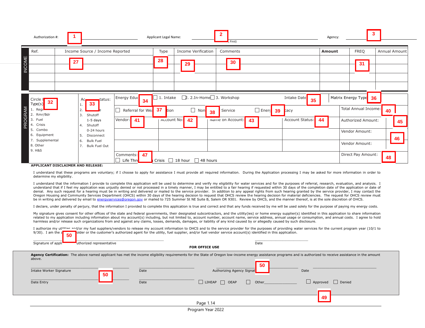| Authorization #:                                                                                                                                        |                                                                                                                                                                    |                                            |                                              | <b>Applicant Legal Name:</b> |                     |                                             |            |    | $\mathbf{2}$<br>$\blacksquare$ , First)                                |                 |                                               |          | Agency:       | 3                                                                                                                                |          |               |
|---------------------------------------------------------------------------------------------------------------------------------------------------------|--------------------------------------------------------------------------------------------------------------------------------------------------------------------|--------------------------------------------|----------------------------------------------|------------------------------|---------------------|---------------------------------------------|------------|----|------------------------------------------------------------------------|-----------------|-----------------------------------------------|----------|---------------|----------------------------------------------------------------------------------------------------------------------------------|----------|---------------|
| Ref.<br><b>INCOME</b>                                                                                                                                   | Income Source / Income Reported<br>27                                                                                                                              |                                            |                                              | Type<br>28                   |                     | <b>Income Verification</b><br>29            |            |    | Comments<br>30                                                         |                 |                                               |          | <b>Amount</b> | <b>FREQ</b><br>31                                                                                                                |          | Annual Amount |
| Circle I<br>Type(s)<br>32<br>PROGRAM<br>Regu<br>2. Rmr/Bdr<br>3. Fuel<br>4. Crisis<br>5. Combo<br>6. Equipment<br>7. Supplemental<br>8. Other<br>9. H&S | tatus:<br>Ag<br>33<br>ī.<br>3.<br>Shutoff<br>$1-5$ days<br>4.<br>Shutoff<br>0-24 hours<br>5.<br>Disconnect<br>6.<br><b>Bulk Fuel</b><br>7.<br><b>Bulk Fuel Out</b> | <b>Energy Educ</b><br>Vendor:<br>Life Thre | 34<br>Referral for Wea<br>41<br>Comments: 47 | $\Box$ 1. Intake<br>37       | tion<br>Account No: | 42<br>Crisis $\Box$ 18 hour $\Box$ 48 hours | $\Box$ Non | 38 | <b>12.</b> 2. In-Home□ 3. Workshop<br>Service<br>Ivalue on Account: 43 | $\Box$ Energ 39 | Intake Date<br>cacy<br><b>Account Status:</b> | 35<br>44 |               | Matrix Energy Type<br>36<br>Total Annual Income:<br>Authorized Amount:<br>Vendor Amount:<br>Vendor Amount:<br>Direct Pay Amount: | 40<br>48 | 45<br>46      |

### **APPLICANT DISCLAIMER AND RELEASE:**

I understand that these programs are voluntary; if I choose to apply for assistance I must provide all required information. During the Application processing I may be asked for more information in order to determine my eligibility.

I understand that the information I provide to complete this application will be used to determine and verify my eligibility for water services and for the purposes of referral, research, evaluation, and analysis. I understand that if I feel my application was unjustly denied or not processed in a timely manner, I may be entitled to a fair hearing if requested within 30 days of the completion date of the application or date of denial. Any such request for a hearing must be in writing and delivered or mailed to the service provider. In addition to any appeal rights from such hearing granted by the service provider, I may contact the Oregon Housing and Community Services Department (OHCS) within 30 days of the hearing decision to request that OHCS review the hearing decision for material deficiencies. The request for OHCS review must be in writing and delivered by email t[o energyservices@oregon.gov](mailto:energyservices@oregon.gov) or mailed to 725 Summer St NE Suite B, Salem OR 9301. Review by OHCS, and the manner thereof, is at the sole discretion of OHCS.

I declare, under penalty of perjury, that the information I provided to complete this application is true and correct and that any funds received by me will be used solely for the purpose of paying my energy costs.

My signature gives consent for other offices of the state and federal governments, their designated subcontractors, and the utility(ies) or home energy supplier(s) identified in this application to share information related to my application including information about my account(s) including, but not limited to, account number, account name, service address, annual usage or consumption, and annual costs. I agree to hold harmless and/or release such organizations from and against any claims, losses, demands, damages, or liability of any kind caused by or allegedly caused by such disclosure.

I authorize my utilities and/or my fuel suppliers/vendors to release my account information to OHCS and to the service provider for the purposes of providing water services for the current program year (10/1 to 9/30). I am the  $\epsilon$  and polder or the customer's authorized agent for the utility, fuel supplier, and/or fuel vendor service account(s) identified in this application. **50**

| $\sim$<br>annli <b>'</b><br>Signature<br>ΩT | utho <sup>,</sup><br>entative?<br>repre<br>.17 <sup>F</sup> | `~<br>Daw |
|---------------------------------------------|-------------------------------------------------------------|-----------|

**FOR OFFICE USE**

| Agency Certification: The above named applicant has met the income eligibility requirements for the State of Oregon low-income energy assistance programs and is authorized to receive assistance in the amount<br>above. |      | 50                                    |                           |
|---------------------------------------------------------------------------------------------------------------------------------------------------------------------------------------------------------------------------|------|---------------------------------------|---------------------------|
| Intake Worker Signature<br>$\overline{50}$                                                                                                                                                                                | Date | Authorizing Agency Signat             | Date                      |
| Date Entry                                                                                                                                                                                                                | Date | ┑<br>LIHEAP  <br>Other<br><b>OEAP</b> | Ш<br>  Denied<br>Approved |
|                                                                                                                                                                                                                           |      |                                       |                           |
|                                                                                                                                                                                                                           |      | Page 1.14                             | 49                        |

Program Year 2022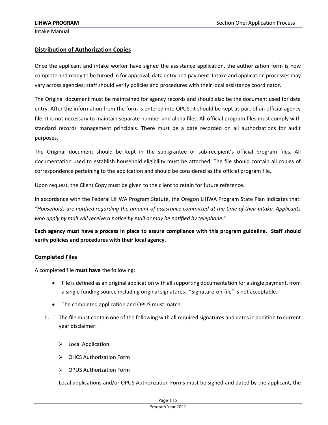### <span id="page-18-0"></span>**Distribution of Authorization Copies**

Once the applicant and intake worker have signed the assistance application, the authorization form is now complete and ready to be turned in for approval, data entry and payment. Intake and application processes may vary across agencies; staff should verify policies and procedures with their local assistance coordinator.

The Original document must be maintained for agency records and should also be the document used for data entry. After the information from the form is entered into OPUS, it should be kept as part of an official agency file. It is not necessary to maintain separate number and alpha files. All official program files must comply with standard records management principals. There must be a date recorded on all authorizations for audit purposes.

The Original document should be kept in the sub-grantee or sub-recipient's official program files. All documentation used to establish household eligibility must be attached. The file should contain all copies of correspondence pertaining to the application and should be considered as the official program file.

Upon request, the Client Copy must be given to the client to retain for future reference.

In accordance with the Federal LIHWA Program Statute, the Oregon LIHWA Program State Plan indicates that: *"Households are notified regarding the amount of assistance committed at the time of their intake. Applicants who apply by mail will receive a notice by mail or may be notified by telephone."*

**Each agency must have a process in place to assure compliance with this program guideline. Staff should verify policies and procedures with their local agency.**

### <span id="page-18-1"></span>**Completed Files**

A completed file **must have** the following:

- File is defined as an original application with all supporting documentation for a single payment, from a single funding source including original signatures. "Signature-on-file" is not acceptable.
- The completed application and OPUS must match.
- **1.** The file must contain one of the following with all required signatures and dates in addition to current year disclaimer:
	- ➢ Local Application
	- ➢ OHCS Authorization Form
	- ➢ OPUS Authorization Form

Local applications and/or OPUS Authorization Forms must be signed and dated by the applicant, the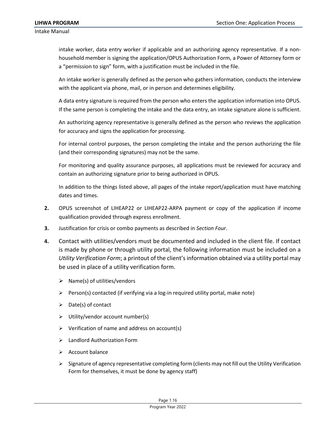intake worker, data entry worker if applicable and an authorizing agency representative. If a nonhousehold member is signing the application/OPUS Authorization Form, a Power of Attorney form or a "permission to sign" form, with a justification must be included in the file.

An intake worker is generally defined as the person who gathers information, conducts the interview with the applicant via phone, mail, or in person and determines eligibility.

A data entry signature is required from the person who enters the application information into OPUS. If the same person is completing the intake and the data entry, an intake signature alone is sufficient.

An authorizing agency representative is generally defined as the person who reviews the application for accuracy and signs the application for processing.

For internal control purposes, the person completing the intake and the person authorizing the file (and their corresponding signatures) may not be the same.

For monitoring and quality assurance purposes, all applications must be reviewed for accuracy and contain an authorizing signature prior to being authorized in OPUS.

In addition to the things listed above, all pages of the intake report/application must have matching dates and times.

- **2.** OPUS screenshot of LIHEAP22 or LIHEAP22-ARPA payment or copy of the application if income qualification provided through express enrollment.
- **3.** Justification for crisis or combo payments as described in *Section Four*.
- **4.** Contact with utilities/vendors must be documented and included in the client file. If contact is made by phone or through utility portal, the following information must be included on a *Utility Verification Form*; a printout of the client's information obtained via a utility portal may be used in place of a utility verification form.
	- $\triangleright$  Name(s) of utilities/vendors
	- $\triangleright$  Person(s) contacted (if verifying via a log-in required utility portal, make note)
	- $\triangleright$  Date(s) of contact
	- ➢ Utility/vendor account number(s)
	- $\triangleright$  Verification of name and address on account(s)
	- ➢ Landlord Authorization Form
	- ➢ Account balance
	- $\triangleright$  Signature of agency representative completing form (clients may not fill out the Utility Verification Form for themselves, it must be done by agency staff)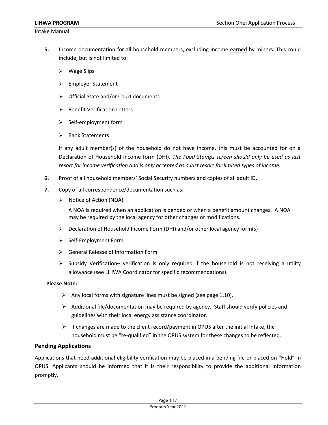- **5.** Income documentation for all household members, excluding income earned by minors. This could include, but is not limited to:
	- ➢ Wage Slips
	- ➢ Employer Statement
	- ➢ Official State and/or Court documents
	- ➢ Benefit Verification Letters
	- ➢ Self-employment form
	- ➢ Bank Statements

If any adult member(s) of the household do not have income, this must be accounted for on a Declaration of Household Income form (DHI). *The Food Stamps screen should only be used as last resort for income verification and is only accepted as a last resort for limited types of income.*

- **6.** Proof of all household members' Social Security numbers and copies of all adult ID.
- **7.** Copy of all correspondence/documentation such as:
	- ➢ Notice of Action (NOA)

A NOA is required when an application is pended or when a benefit amount changes. A NOA may be required by the local agency for other changes or modifications.

- $\triangleright$  Declaration of Household Income Form (DHI) and/or other local agency form(s)
- ➢ Self-Employment Form
- ➢ General Release of Information Form
- $\triangleright$  Subsidy Verification– verification is only required if the household is not receiving a utility allowance (see LIHWA Coordinator for specific recommendations).

### **Please Note:**

- $\triangleright$  Any local forms with signature lines must be signed (see page 1.10).
- $\triangleright$  Additional file/documentation may be required by agency. Staff should verify policies and guidelines with their local energy assistance coordinator.
- $\triangleright$  If changes are made to the client record/payment in OPUS after the initial intake, the household must be "re-qualified" in the OPUS system for these changes to be reflected.

### <span id="page-20-0"></span>**Pending Applications**

Applications that need additional eligibility verification may be placed in a pending file or placed on "Hold" in OPUS. Applicants should be informed that it is their responsibility to provide the additional information promptly.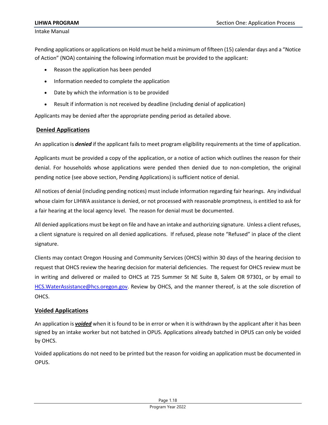Pending applications or applications on Hold must be held a minimum of fifteen (15) calendar days and a "Notice of Action" (NOA) containing the following information must be provided to the applicant:

- Reason the application has been pended
- Information needed to complete the application
- Date by which the information is to be provided
- Result if information is not received by deadline (including denial of application)

Applicants may be denied after the appropriate pending period as detailed above.

### <span id="page-21-2"></span><span id="page-21-0"></span>**Denied Applications**

An application is *denied* if the applicant fails to meet program eligibility requirements at the time of application.

Applicants must be provided a copy of the application, or a notice of action which outlines the reason for their denial. For households whose applications were pended then denied due to non-completion, the original pending notice (see above section, Pending Applications) is sufficient notice of denial.

All notices of denial (including pending notices) must include information regarding fair hearings. Any individual whose claim for LIHWA assistance is denied, or not processed with reasonable promptness, is entitled to ask for a fair hearing at the local agency level. The reason for denial must be documented.

All denied applications must be kept on file and have an intake and authorizing signature. Unless a client refuses, a client signature is required on all denied applications. If refused, please note "Refused" in place of the client signature.

Clients may contact Oregon Housing and Community Services (OHCS) within 30 days of the hearing decision to request that OHCS review the hearing decision for material deficiencies. The request for OHCS review must be in writing and delivered or mailed to OHCS at 725 Summer St NE Suite B, Salem OR 97301, or by email to [HCS.WaterAssistance@hcs.oregon.gov.](mailto:HCS.WaterAssistance@hcs.oregon.gov) Review by OHCS, and the manner thereof, is at the sole discretion of OHCS.

### <span id="page-21-1"></span>**Voided Applications**

An application is *voided* when it is found to be in error or when it is withdrawn by the applicant after it has been signed by an intake worker but not batched in OPUS. Applications already batched in OPUS can only be voided by OHCS.

Voided applications do not need to be printed but the reason for voiding an application must be documented in OPUS.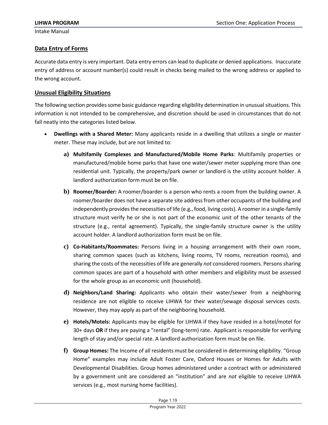### <span id="page-22-0"></span>**Data Entry of Forms**

Accurate data entry is very important. Data entry errors can lead to duplicate or denied applications. Inaccurate entry of address or account number(s) could result in checks being mailed to the wrong address or applied to the wrong account.

### <span id="page-22-1"></span>**Unusual Eligibility Situations**

The following section provides some basic guidance regarding eligibility determination in unusual situations. This information is not intended to be comprehensive, and discretion should be used in circumstances that do not fall neatly into the categories listed below.

- **Dwellings with a Shared Meter:** Many applicants reside in a dwelling that utilizes a single or master meter. These may include, but are not limited to:
	- **a) Multifamily Complexes and Manufactured/Mobile Home Parks**: Multifamily properties or manufactured/mobile home parks that have one water/sewer meter supplying more than one residential unit. Typically, the property/park owner or landlord is the utility account holder. A landlord authorization form must be on file.
	- **b) Roomer/Boarder:** A roomer/boarder is a person who rents a room from the building owner. A roomer/boarder does not have a separate site address from other occupants of the building and independently provides the necessities of life (e.g., food, living costs). A roomer in a single-family structure must verify he or she is not part of the economic unit of the other tenants of the structure (e.g., rental agreement). Typically, the single-family structure owner is the utility account holder. A landlord authorization form must be on file.
	- **c) Co-Habitants/Roommates:** Persons living in a housing arrangement with their own room, sharing common spaces (such as kitchens, living rooms, TV rooms, recreation rooms), and sharing the costs of the necessities of life are generally *not* considered roomers. Persons sharing common spaces are part of a household with other members and eligibility must be assessed for the whole group as an economic unit (household).
	- **d) Neighbors/Land Sharing:** Applicants who obtain their water/sewer from a neighboring residence are not eligible to receive LIHWA for their water/sewage disposal services costs. However, they may apply as part of the neighboring household.
	- **e) Hotels/Motels:** Applicants may be eligible for LIHWA if they have resided in a hotel/motel for 30+ days **OR** if they are paying a "rental" (long-term) rate. Applicant is responsible for verifying length of stay and/or special rate. A landlord authorization form must be on file.
	- **f) Group Homes:** The Income of all residents must be considered in determining eligibility. "Group Home" examples may include Adult Foster Care, Oxford Houses or Homes for Adults with Developmental Disabilities. Group homes administered under a contract with or administered by a government unit are considered an "institution" and are *not* eligible to receive LIHWA services (e.g., most nursing home facilities).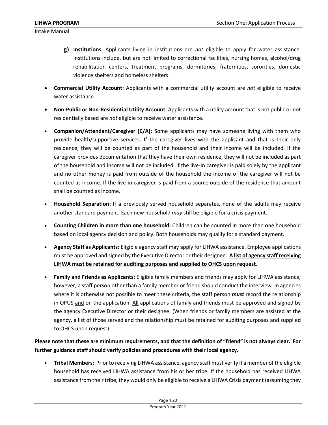- **g) Institutions**: Applicants living in institutions are *not* eligible to apply for water assistance. Institutions include, but are not limited to correctional facilities, nursing homes, alcohol/drug rehabilitation centers, treatment programs, dormitories, fraternities, sororities, domestic violence shelters and homeless shelters.
- **Commercial Utility Account:** Applicants with a commercial utility account are *not* eligible to receive water assistance.
- **Non-Public or Non-Residential Utility Account**: Applicants with a utility account that is not public or not residentially based are *not* eligible to receive water assistance.
- **Companion/Attendant/Caregiver (C/A):** Some applicants may have someone living with them who provide health/supportive services. If the caregiver lives with the applicant and that is their only residence, they will be counted as part of the household and their income will be included. If the caregiver provides documentation that they have their own residence, they will not be included as part of the household and income will not be included. If the live-in caregiver is paid solely by the applicant and no other money is paid from outside of the household the income of the caregiver will not be counted as income. If the live-in caregiver is paid from a source outside of the residence that amount shall be counted as income.
- **Household Separation:** If a previously served household separates, none of the adults may receive another standard payment. Each new household *may* still be eligible for a crisis payment.
- **Counting Children in more than one household:** Children can be counted in more than one household based on local agency decision and policy. Both households may qualify for a standard payment.
- **Agency Staff as Applicants:** Eligible agency staff may apply for LIHWA assistance. Employee applications must be approved and signed by the Executive Director or their designee. **A list of agency staff receiving LIHWA must be retained for auditing purposes and supplied to OHCS upon request**.
- **Family and Friends as Applicants:** Eligible family members and friends may apply for LIHWA assistance; however, a staff person other than a family member or friend should conduct the interview. In agencies where it is otherwise not possible to meet these criteria, the staff person *must* record the relationship in OPUS and on the application. All applications of family and friends must be approved and signed by the agency Executive Director or their designee. (When friends or family members are assisted at the agency, a list of those served and the relationship must be retained for auditing purposes and supplied to OHCS upon request).

## **Please note that these are minimum requirements, and that the definition of "friend" is not always clear. For further guidance staff should verify policies and procedures with their local agency.**

• **Tribal Members:** Prior to receiving LIHWA assistance, agency staff must verify if a member of the eligible household has received LIHWA assistance from his or her tribe. If the household has received LIHWA assistance from their tribe, they would only be eligible to receive a LIHWA Crisis payment (assuming they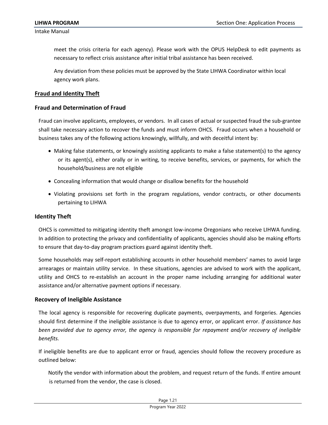meet the crisis criteria for each agency). Please work with the OPUS HelpDesk to edit payments as necessary to reflect crisis assistance after initial tribal assistance has been received.

Any deviation from these policies must be approved by the State LIHWA Coordinator within local agency work plans.

### <span id="page-24-0"></span>**Fraud and Identity Theft**

### <span id="page-24-1"></span>**Fraud and Determination of Fraud**

Fraud can involve applicants, employees, or vendors. In all cases of actual or suspected fraud the sub-grantee shall take necessary action to recover the funds and must inform OHCS. Fraud occurs when a household or business takes any of the following actions knowingly, willfully, and with deceitful intent by:

- Making false statements, or knowingly assisting applicants to make a false statement(s) to the agency or its agent(s), either orally or in writing, to receive benefits, services, or payments, for which the household/business are not eligible
- Concealing information that would change or disallow benefits for the household
- Violating provisions set forth in the program regulations, vendor contracts, or other documents pertaining to LIHWA

### <span id="page-24-2"></span>**Identity Theft**

OHCS is committed to mitigating identity theft amongst low-income Oregonians who receive LIHWA funding. In addition to protecting the privacy and confidentiality of applicants, agencies should also be making efforts to ensure that day-to-day program practices guard against identity theft.

Some households may self-report establishing accounts in other household members' names to avoid large arrearages or maintain utility service. In these situations, agencies are advised to work with the applicant, utility and OHCS to re-establish an account in the proper name including arranging for additional water assistance and/or alternative payment options if necessary.

### <span id="page-24-3"></span>**Recovery of Ineligible Assistance**

The local agency is responsible for recovering duplicate payments, overpayments, and forgeries. Agencies should first determine if the ineligible assistance is due to agency error, or applicant error. *If assistance has been provided due to agency error, the agency is responsible for repayment and/or recovery of ineligible benefits.*

If ineligible benefits are due to applicant error or fraud, agencies should follow the recovery procedure as outlined below:

Notify the vendor with information about the problem, and request return of the funds. If entire amount is returned from the vendor, the case is closed.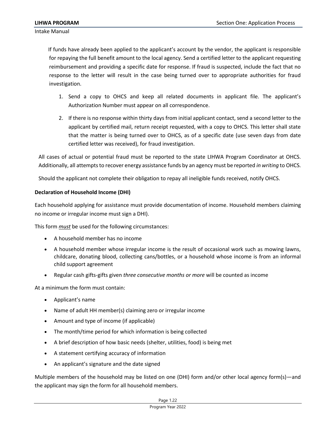If funds have already been applied to the applicant's account by the vendor, the applicant is responsible for repaying the full benefit amount to the local agency. Send a certified letter to the applicant requesting reimbursement and providing a specific date for response. If fraud is suspected, include the fact that no response to the letter will result in the case being turned over to appropriate authorities for fraud investigation.

- 1. Send a copy to OHCS and keep all related documents in applicant file. The applicant's Authorization Number must appear on all correspondence.
- 2. If there is no response within thirty days from initial applicant contact, send a second letter to the applicant by certified mail, return receipt requested, with a copy to OHCS. This letter shall state that the matter is being turned over to OHCS, as of a specific date (use seven days from date certified letter was received), for fraud investigation.

All cases of actual or potential fraud must be reported to the state LIHWA Program Coordinator at OHCS. Additionally, all attempts to recover energy assistance funds by an agency must be reported *in writing* to OHCS.

Should the applicant not complete their obligation to repay all ineligible funds received, notify OHCS.

### <span id="page-25-0"></span>**Declaration of Household Income (DHI)**

Each household applying for assistance must provide documentation of income. Household members claiming no income or irregular income must sign a DHI).

This form *must* be used for the following circumstances:

- A household member has no income
- A household member whose irregular income is the result of occasional work such as mowing lawns, childcare, donating blood, collecting cans/bottles, or a household whose income is from an informal child support agreement
- Regular cash gifts-gifts given *three consecutive months or more* will be counted as income

At a minimum the form must contain:

- Applicant's name
- Name of adult HH member(s) claiming zero or irregular income
- Amount and type of income (if applicable)
- The month/time period for which information is being collected
- A brief description of how basic needs (shelter, utilities, food) is being met
- A statement certifying accuracy of information
- An applicant's signature and the date signed

Multiple members of the household may be listed on one (DHI) form and/or other local agency form(s)—and the applicant may sign the form for all household members.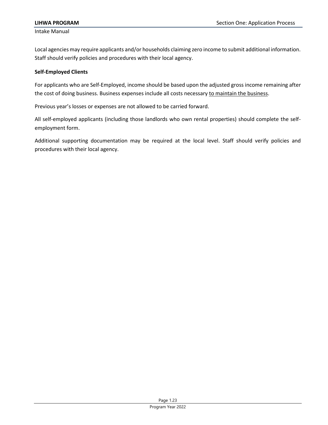Local agencies may require applicants and/or households claiming zero income to submit additional information. Staff should verify policies and procedures with their local agency.

### <span id="page-26-0"></span>**Self-Employed Clients**

For applicants who are Self-Employed, income should be based upon the adjusted gross income remaining after the cost of doing business. Business expenses include all costs necessary to maintain the business.

Previous year's losses or expenses are not allowed to be carried forward.

All self-employed applicants (including those landlords who own rental properties) should complete the selfemployment form.

Additional supporting documentation may be required at the local level. Staff should verify policies and procedures with their local agency.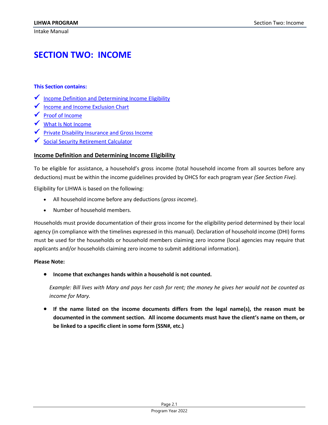## <span id="page-27-0"></span>**SECTION TWO: INCOME**

### **This Section contains:**

- ✓ [Income Definition and Determining Income Eligibility](#page-27-1)
- ✓ [Income and Income Exclusion Chart](#page-27-2)
- ✓ [Proof of Income](#page-36-0)
- ✓ What Is [Not Income](#page-38-0)
- ✓ [Private Disability Insurance and Gross Income](#page-40-0)
- ✓ Social Security Retirement Calculator

### <span id="page-27-1"></span>**Income Definition and Determining Income Eligibility**

To be eligible for assistance, a household's gross income (total household income from all sources before any deductions) must be within the income guidelines provided by OHCS for each program year *(See Section Five).*

Eligibility for LIHWA is based on the following:

- All household income before any deductions (*gross income*).
- Number of household members.

Households must provide documentation of their gross income for the eligibility period determined by their local agency (in compliance with the timelines expressed in this manual). Declaration of household income (DHI) forms must be used for the households or household members claiming zero income (local agencies may require that applicants and/or households claiming zero income to submit additional information).

### **Please Note:**

• **Income that exchanges hands within a household is not counted.**

*Example: Bill lives with Mary and pays her cash for rent; the money he gives her would not be counted as income for Mary.*

<span id="page-27-2"></span>• **If the name listed on the income documents differs from the legal name(s), the reason must be documented in the comment section. All income documents must have the client's name on them, or be linked to a specific client in some form (SSN#, etc.)**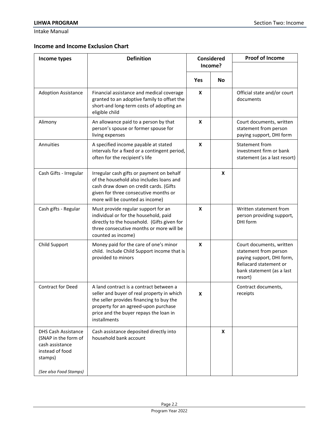### <span id="page-28-0"></span>**Income and Income Exclusion Chart**

| Income types                                                                                                                  | <b>Definition</b>                                                                                                                                                                                                                   |            | <b>Considered</b> | <b>Proof of Income</b>                                                                                                                           |  |  |  |
|-------------------------------------------------------------------------------------------------------------------------------|-------------------------------------------------------------------------------------------------------------------------------------------------------------------------------------------------------------------------------------|------------|-------------------|--------------------------------------------------------------------------------------------------------------------------------------------------|--|--|--|
|                                                                                                                               |                                                                                                                                                                                                                                     |            | Income?           |                                                                                                                                                  |  |  |  |
|                                                                                                                               |                                                                                                                                                                                                                                     | <b>Yes</b> | <b>No</b>         |                                                                                                                                                  |  |  |  |
| <b>Adoption Assistance</b>                                                                                                    | Financial assistance and medical coverage<br>granted to an adoptive family to offset the<br>short-and long-term costs of adopting an<br>eligible child                                                                              | X          |                   | Official state and/or court<br>documents                                                                                                         |  |  |  |
| Alimony                                                                                                                       | An allowance paid to a person by that<br>person's spouse or former spouse for<br>living expenses                                                                                                                                    | X          |                   | Court documents, written<br>statement from person<br>paying support, DHI form                                                                    |  |  |  |
| Annuities                                                                                                                     | A specified income payable at stated<br>intervals for a fixed or a contingent period,<br>often for the recipient's life                                                                                                             | X          |                   | Statement from<br>investment firm or bank<br>statement (as a last resort)                                                                        |  |  |  |
| Cash Gifts - Irregular                                                                                                        | Irregular cash gifts or payment on behalf<br>of the household also includes loans and<br>cash draw down on credit cards. (Gifts<br>given for three consecutive months or<br>more will be counted as income)                         |            | X                 |                                                                                                                                                  |  |  |  |
| Cash gifts - Regular                                                                                                          | Must provide regular support for an<br>individual or for the household, paid<br>directly to the household. (Gifts given for<br>three consecutive months or more will be<br>counted as income)                                       | X          |                   | Written statement from<br>person providing support,<br>DHI form                                                                                  |  |  |  |
| Child Support                                                                                                                 | Money paid for the care of one's minor<br>child. Include Child Support income that is<br>provided to minors                                                                                                                         | X          |                   | Court documents, written<br>statement from person<br>paying support, DHI form,<br>Reliacard statement or<br>bank statement (as a last<br>resort) |  |  |  |
| <b>Contract for Deed</b>                                                                                                      | A land contract is a contract between a<br>seller and buyer of real property in which<br>the seller provides financing to buy the<br>property for an agreed-upon purchase<br>price and the buyer repays the loan in<br>installments | x          |                   | Contract documents,<br>receipts                                                                                                                  |  |  |  |
| <b>DHS Cash Assistance</b><br>(SNAP in the form of<br>cash assistance<br>instead of food<br>stamps)<br>(See also Food Stamps) | Cash assistance deposited directly into<br>household bank account                                                                                                                                                                   |            | X                 |                                                                                                                                                  |  |  |  |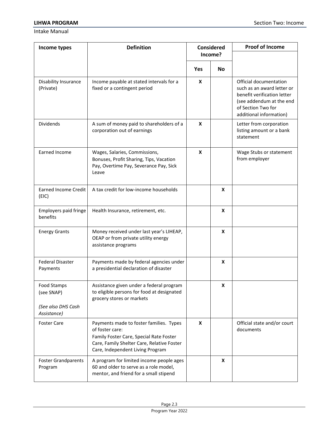| Income types                                                   | <b>Definition</b>                                                                                                                                                                       | <b>Considered</b> |         | <b>Proof of Income</b>                                                                                                                                           |
|----------------------------------------------------------------|-----------------------------------------------------------------------------------------------------------------------------------------------------------------------------------------|-------------------|---------|------------------------------------------------------------------------------------------------------------------------------------------------------------------|
|                                                                |                                                                                                                                                                                         |                   | Income? |                                                                                                                                                                  |
|                                                                |                                                                                                                                                                                         | Yes               | No      |                                                                                                                                                                  |
| Disability Insurance<br>(Private)                              | Income payable at stated intervals for a<br>fixed or a contingent period                                                                                                                | X                 |         | Official documentation<br>such as an award letter or<br>benefit verification letter<br>(see addendum at the end<br>of Section Two for<br>additional information) |
| Dividends                                                      | A sum of money paid to shareholders of a<br>corporation out of earnings                                                                                                                 | X                 |         | Letter from corporation<br>listing amount or a bank<br>statement                                                                                                 |
| Earned Income                                                  | Wages, Salaries, Commissions,<br>Bonuses, Profit Sharing, Tips, Vacation<br>Pay, Overtime Pay, Severance Pay, Sick<br>Leave                                                             | X                 |         | Wage Stubs or statement<br>from employer                                                                                                                         |
| <b>Earned Income Credit</b><br>(EIC)                           | A tax credit for low-income households                                                                                                                                                  |                   | X       |                                                                                                                                                                  |
| Employers paid fringe<br>benefits                              | Health Insurance, retirement, etc.                                                                                                                                                      |                   | X       |                                                                                                                                                                  |
| <b>Energy Grants</b>                                           | Money received under last year's LIHEAP,<br>OEAP or from private utility energy<br>assistance programs                                                                                  |                   | X       |                                                                                                                                                                  |
| <b>Federal Disaster</b><br>Payments                            | Payments made by federal agencies under<br>a presidential declaration of disaster                                                                                                       |                   | X       |                                                                                                                                                                  |
| Food Stamps<br>(see SNAP)<br>(See also DHS Cash<br>Assistance) | Assistance given under a federal program<br>to eligible persons for food at designated<br>grocery stores or markets                                                                     |                   | X       |                                                                                                                                                                  |
| <b>Foster Care</b>                                             | Payments made to foster families. Types<br>of foster care:<br>Family Foster Care, Special Rate Foster<br>Care, Family Shelter Care, Relative Foster<br>Care, Independent Living Program | X                 |         | Official state and/or court<br>documents                                                                                                                         |
| <b>Foster Grandparents</b><br>Program                          | A program for limited income people ages<br>60 and older to serve as a role model,<br>mentor, and friend for a small stipend                                                            |                   | X       |                                                                                                                                                                  |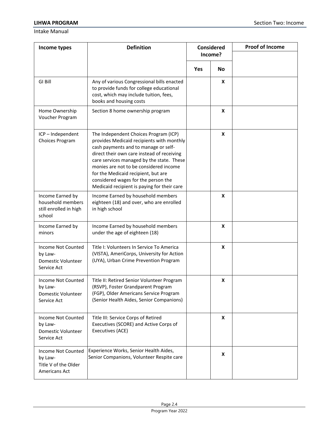| Income types                                                              | <b>Definition</b>                                                                                                                                                                                                                                                                                                                                                                            |     | <b>Considered</b><br>Income? | <b>Proof of Income</b> |
|---------------------------------------------------------------------------|----------------------------------------------------------------------------------------------------------------------------------------------------------------------------------------------------------------------------------------------------------------------------------------------------------------------------------------------------------------------------------------------|-----|------------------------------|------------------------|
|                                                                           |                                                                                                                                                                                                                                                                                                                                                                                              | Yes | <b>No</b>                    |                        |
| GI Bill                                                                   | Any of various Congressional bills enacted<br>to provide funds for college educational<br>cost, which may include tuition, fees,<br>books and housing costs                                                                                                                                                                                                                                  |     | X                            |                        |
| Home Ownership<br>Voucher Program                                         | Section 8 home ownership program                                                                                                                                                                                                                                                                                                                                                             |     | X                            |                        |
| ICP-Independent<br>Choices Program                                        | The Independent Choices Program (ICP)<br>provides Medicaid recipients with monthly<br>cash payments and to manage or self-<br>direct their own care instead of receiving<br>care services managed by the state. These<br>monies are not to be considered income<br>for the Medicaid recipient, but are<br>considered wages for the person the<br>Medicaid recipient is paying for their care |     | X                            |                        |
| Income Earned by<br>household members<br>still enrolled in high<br>school | Income Earned by household members<br>eighteen (18) and over, who are enrolled<br>in high school                                                                                                                                                                                                                                                                                             |     | X                            |                        |
| Income Earned by<br>minors                                                | Income Earned by household members<br>under the age of eighteen (18)                                                                                                                                                                                                                                                                                                                         |     | X                            |                        |
| Income Not Counted<br>by Law-<br>Domestic Volunteer<br>Service Act        | Title I: Volunteers In Service To America<br>(VISTA), AmeriCorps, University for Action<br>(UYA), Urban Crime Prevention Program                                                                                                                                                                                                                                                             |     | X                            |                        |
| <b>Income Not Counted</b><br>by Law-<br>Domestic Volunteer<br>Service Act | Title II: Retired Senior Volunteer Program<br>(RSVP), Foster Grandparent Program<br>(FGP), Older Americans Service Program<br>(Senior Health Aides, Senior Companions)                                                                                                                                                                                                                       |     | X                            |                        |
| Income Not Counted<br>by Law-<br>Domestic Volunteer<br>Service Act        | Title III: Service Corps of Retired<br>Executives (SCORE) and Active Corps of<br>Executives (ACE)                                                                                                                                                                                                                                                                                            |     | X                            |                        |
| Income Not Counted<br>by Law-<br>Title V of the Older<br>Americans Act    | Experience Works, Senior Health Aides,<br>Senior Companions, Volunteer Respite care                                                                                                                                                                                                                                                                                                          |     | X                            |                        |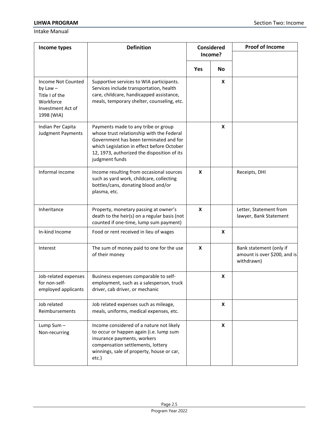| Income types                                                                                              | <b>Definition</b>                                                                                                                                                                                                                         | <b>Considered</b> |    | <b>Proof of Income</b>                                                |
|-----------------------------------------------------------------------------------------------------------|-------------------------------------------------------------------------------------------------------------------------------------------------------------------------------------------------------------------------------------------|-------------------|----|-----------------------------------------------------------------------|
|                                                                                                           |                                                                                                                                                                                                                                           | Income?           |    |                                                                       |
|                                                                                                           |                                                                                                                                                                                                                                           | Yes               | No |                                                                       |
| <b>Income Not Counted</b><br>by Law $-$<br>Title I of the<br>Workforce<br>Investment Act of<br>1998 (WIA) | Supportive services to WIA participants.<br>Services include transportation, health<br>care, childcare, handicapped assistance,<br>meals, temporary shelter, counseling, etc.                                                             |                   | X  |                                                                       |
| Indian Per Capita<br><b>Judgment Payments</b>                                                             | Payments made to any tribe or group<br>whose trust relationship with the Federal<br>Government has been terminated and for<br>which Legislation in effect before October<br>12, 1973, authorized the disposition of its<br>judgment funds |                   | X  |                                                                       |
| Informal income                                                                                           | Income resulting from occasional sources<br>such as yard work, childcare, collecting<br>bottles/cans, donating blood and/or<br>plasma, etc.                                                                                               | X                 |    | Receipts, DHI                                                         |
| Inheritance                                                                                               | Property, monetary passing at owner's<br>death to the heir(s) on a regular basis (not<br>counted if one-time, lump sum payment)                                                                                                           | $\boldsymbol{x}$  |    | Letter, Statement from<br>lawyer, Bank Statement                      |
| In-kind Income                                                                                            | Food or rent received in lieu of wages                                                                                                                                                                                                    |                   | X  |                                                                       |
| Interest                                                                                                  | The sum of money paid to one for the use<br>of their money                                                                                                                                                                                | X                 |    | Bank statement (only if<br>amount is over \$200, and is<br>withdrawn) |
| Job-related expenses<br>for non-self-<br>employed applicants                                              | Business expenses comparable to self-<br>employment, such as a salesperson, truck<br>driver, cab driver, or mechanic                                                                                                                      |                   | X  |                                                                       |
| Job related<br>Reimbursements                                                                             | Job related expenses such as mileage,<br>meals, uniforms, medical expenses, etc.                                                                                                                                                          |                   | X  |                                                                       |
| Lump Sum-<br>Non-recurring                                                                                | Income considered of a nature not likely<br>to occur or happen again (i.e. lump sum<br>insurance payments, workers<br>compensation settlements, lottery<br>winnings, sale of property, house or car,<br>etc.)                             |                   | X  |                                                                       |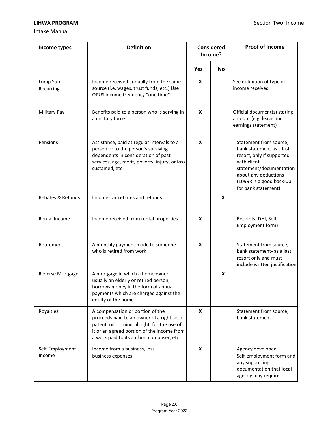| Income types              | <b>Definition</b>                                                                                                                                                                                                         | <b>Considered</b><br>Income? |                  | <b>Proof of Income</b>                                                                                                                                                                               |  |
|---------------------------|---------------------------------------------------------------------------------------------------------------------------------------------------------------------------------------------------------------------------|------------------------------|------------------|------------------------------------------------------------------------------------------------------------------------------------------------------------------------------------------------------|--|
|                           |                                                                                                                                                                                                                           | Yes                          | <b>No</b>        |                                                                                                                                                                                                      |  |
| Lump Sum-<br>Recurring    | Income received annually from the same<br>source (i.e. wages, trust funds, etc.) Use<br>OPUS income frequency "one time"                                                                                                  | X                            |                  | See definition of type of<br>income received                                                                                                                                                         |  |
| <b>Military Pay</b>       | Benefits paid to a person who is serving in<br>a military force                                                                                                                                                           | X                            |                  | Official document(s) stating<br>amount (e.g. leave and<br>earnings statement)                                                                                                                        |  |
| Pensions                  | Assistance, paid at regular intervals to a<br>person or to the person's surviving<br>dependents in consideration of past<br>services, age, merit, poverty, injury, or loss<br>sustained, etc.                             | X                            |                  | Statement from source,<br>bank statement as a last<br>resort, only if supported<br>with client<br>statement/documentation<br>about any deductions<br>(1099R is a good back-up<br>for bank statement) |  |
| Rebates & Refunds         | Income Tax rebates and refunds                                                                                                                                                                                            |                              | X                |                                                                                                                                                                                                      |  |
| Rental Income             | Income received from rental properties                                                                                                                                                                                    | X                            |                  | Receipts, DHI, Self-<br>Employment form)                                                                                                                                                             |  |
| Retirement                | A monthly payment made to someone<br>who is retired from work                                                                                                                                                             | X                            |                  | Statement from source,<br>bank statement- as a last<br>resort only and must<br>include written justification                                                                                         |  |
| Reverse Mortgage          | A mortgage in which a homeowner,<br>usually an elderly or retired person,<br>borrows money in the form of annual<br>payments which are charged against the<br>equity of the home                                          |                              | $\boldsymbol{x}$ |                                                                                                                                                                                                      |  |
| Royalties                 | A compensation or portion of the<br>proceeds paid to an owner of a right, as a<br>patent, oil or mineral right, for the use of<br>it or an agreed portion of the income from<br>a work paid to its author, composer, etc. | X                            |                  | Statement from source,<br>bank statement.                                                                                                                                                            |  |
| Self-Employment<br>Income | Income from a business, less<br>business expenses                                                                                                                                                                         | X                            |                  | Agency developed<br>Self-employment form and<br>any supporting<br>documentation that local<br>agency may require.                                                                                    |  |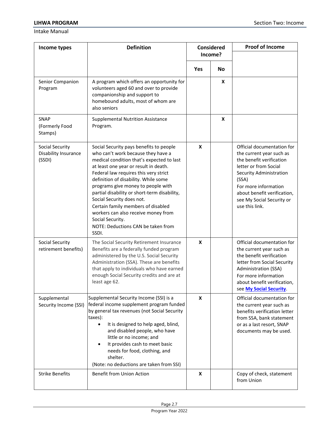| Income types                                             | <b>Definition</b>                                                                                                                                                                                                                                                                                                                                                                                                                                                                                                       | <b>Considered</b><br>Income? |     | <b>Proof of Income</b>                                                                                                                                                                                                                                |
|----------------------------------------------------------|-------------------------------------------------------------------------------------------------------------------------------------------------------------------------------------------------------------------------------------------------------------------------------------------------------------------------------------------------------------------------------------------------------------------------------------------------------------------------------------------------------------------------|------------------------------|-----|-------------------------------------------------------------------------------------------------------------------------------------------------------------------------------------------------------------------------------------------------------|
|                                                          |                                                                                                                                                                                                                                                                                                                                                                                                                                                                                                                         | <b>Yes</b>                   | No. |                                                                                                                                                                                                                                                       |
| Senior Companion<br>Program                              | A program which offers an opportunity for<br>volunteers aged 60 and over to provide<br>companionship and support to<br>homebound adults, most of whom are<br>also seniors                                                                                                                                                                                                                                                                                                                                               |                              | X   |                                                                                                                                                                                                                                                       |
| <b>SNAP</b><br>(Formerly Food<br>Stamps)                 | <b>Supplemental Nutrition Assistance</b><br>Program.                                                                                                                                                                                                                                                                                                                                                                                                                                                                    |                              | X   |                                                                                                                                                                                                                                                       |
| <b>Social Security</b><br>Disability Insurance<br>(SSDI) | Social Security pays benefits to people<br>who can't work because they have a<br>medical condition that's expected to last<br>at least one year or result in death.<br>Federal law requires this very strict<br>definition of disability. While some<br>programs give money to people with<br>partial disability or short-term disability,<br>Social Security does not.<br>Certain family members of disabled<br>workers can also receive money from<br>Social Security.<br>NOTE: Deductions CAN be taken from<br>SSDI. | X                            |     | Official documentation for<br>the current year such as<br>the benefit verification<br>letter or from Social<br>Security Administration<br>(SSA)<br>For more information<br>about benefit verification,<br>see My Social Security or<br>use this link. |
| Social Security<br>retirement benefits)                  | The Social Security Retirement Insurance<br>Benefits are a federally funded program<br>administered by the U.S. Social Security<br>Administration (SSA). These are benefits<br>that apply to individuals who have earned<br>enough Social Security credits and are at<br>least age 62.                                                                                                                                                                                                                                  | X                            |     | Official documentation for<br>the current year such as<br>the benefit verification<br>letter from Social Security<br>Administration (SSA)<br>For more information<br>about benefit verification,<br>see My Social Security                            |
| Supplemental<br>Security Income (SSI)                    | Supplemental Security Income (SSI) is a<br>federal income supplement program funded<br>by general tax revenues (not Social Security<br>taxes):<br>It is designed to help aged, blind,<br>$\bullet$<br>and disabled people, who have<br>little or no income; and<br>It provides cash to meet basic<br>$\bullet$<br>needs for food, clothing, and<br>shelter.<br>(Note: no deductions are taken from SSI)                                                                                                                 | X                            |     | Official documentation for<br>the current year such as<br>benefits verification letter<br>from SSA, bank statement<br>or as a last resort, SNAP<br>documents may be used.                                                                             |
| <b>Strike Benefits</b>                                   | <b>Benefit from Union Action</b>                                                                                                                                                                                                                                                                                                                                                                                                                                                                                        | X                            |     | Copy of check, statement<br>from Union                                                                                                                                                                                                                |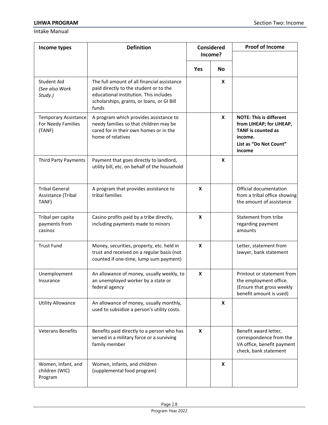| Income types                                                | <b>Definition</b>                                                                                                                                                                      | <b>Considered</b> |   | <b>Proof of Income</b>                                                                                                                 |  |
|-------------------------------------------------------------|----------------------------------------------------------------------------------------------------------------------------------------------------------------------------------------|-------------------|---|----------------------------------------------------------------------------------------------------------------------------------------|--|
|                                                             |                                                                                                                                                                                        | Income?           |   |                                                                                                                                        |  |
|                                                             |                                                                                                                                                                                        | Yes<br><b>No</b>  |   |                                                                                                                                        |  |
| <b>Student Aid</b><br>(See also Work<br>Study.)             | The full amount of all financial assistance<br>paid directly to the student or to the<br>educational institution. This includes<br>scholarships, grants, or loans, or GI Bill<br>funds |                   | X |                                                                                                                                        |  |
| <b>Temporary Assistance</b><br>For Needy Families<br>(TANF) | A program which provides assistance to<br>needy families so that children may be<br>cared for in their own homes or in the<br>home of relatives                                        |                   | X | <b>NOTE: This is different</b><br>from LIHEAP; for LIHEAP,<br><b>TANF</b> is counted as<br>income.<br>List as "Do Not Count"<br>income |  |
| <b>Third Party Payments</b>                                 | Payment that goes directly to landlord,<br>utility bill, etc. on behalf of the household                                                                                               |                   | X |                                                                                                                                        |  |
| <b>Tribal General</b><br>Assistance (Tribal<br>TANF)        | A program that provides assistance to<br>tribal families                                                                                                                               | X                 |   | Official documentation<br>from a tribal office showing<br>the amount of assistance                                                     |  |
| Tribal per capita<br>payments from<br>casinos               | Casino profits paid by a tribe directly,<br>including payments made to minors                                                                                                          | X                 |   | Statement from tribe<br>regarding payment<br>amounts                                                                                   |  |
| <b>Trust Fund</b>                                           | Money, securities, property, etc. held in<br>trust and received on a regular basis (not<br>counted if one-time, lump sum payment)                                                      | X                 |   | Letter, statement from<br>lawyer, bank statement                                                                                       |  |
| Unemployment<br>Insurance                                   | An allowance of money, usually weekly, to<br>an unemployed worker by a state or<br>federal agency                                                                                      | X                 |   | Printout or statement from<br>the employment office.<br>(Ensure that gross weekly<br>benefit amount is used)                           |  |
| <b>Utility Allowance</b>                                    | An allowance of money, usually monthly,<br>used to subsidize a person's utility costs.                                                                                                 |                   | X |                                                                                                                                        |  |
| <b>Veterans Benefits</b>                                    | Benefits paid directly to a person who has<br>served in a military force or a surviving<br>family member                                                                               | X                 |   | Benefit award letter,<br>correspondence from the<br>VA office, benefit payment<br>check, bank statement                                |  |
| Women, Infant, and<br>children (WIC)<br>Program             | Women, Infants, and children<br>(supplemental food program)                                                                                                                            |                   | X |                                                                                                                                        |  |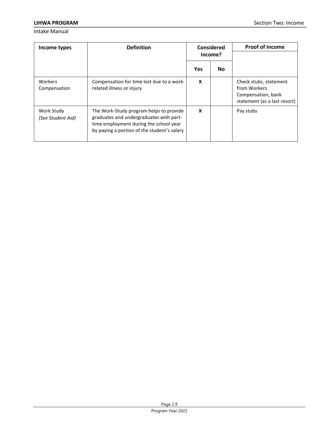| Income types                    | <b>Definition</b>                                                                                                                                                           | Considered |           | <b>Proof of Income</b>                                                                       |
|---------------------------------|-----------------------------------------------------------------------------------------------------------------------------------------------------------------------------|------------|-----------|----------------------------------------------------------------------------------------------|
|                                 |                                                                                                                                                                             | Income?    |           |                                                                                              |
|                                 |                                                                                                                                                                             | Yes        | <b>No</b> |                                                                                              |
| Workers<br>Compensation         | Compensation for time lost due to a work-<br>related illness or injury                                                                                                      | X          |           | Check stubs, statement<br>from Workers<br>Compensation, bank<br>statement (as a last resort) |
| Work Study<br>(See Student Aid) | The Work-Study program helps to provide<br>graduates and undergraduates with part-<br>time employment during the school year<br>by paying a portion of the student's salary | X          |           | Pay stubs                                                                                    |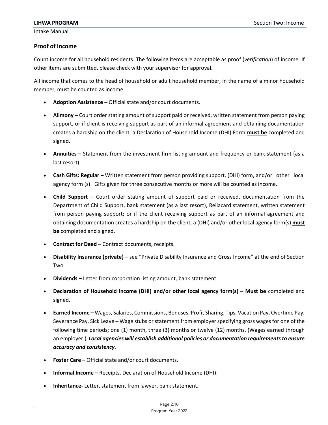### <span id="page-36-0"></span>**Proof of Income**

Count income for all household residents. The following items are acceptable as proof (*verification*) of income. If other items are submitted, please check with your supervisor for approval.

All income that comes to the head of household or adult household member, in the name of a minor household member, must be counted as income.

- **Adoption Assistance –** Official state and/or court documents.
- **Alimony –** Court order stating amount of support paid or received, written statement from person paying support, or if client is receiving support as part of an informal agreement and obtaining documentation creates a hardship on the client, a Declaration of Household Income (DHI) Form **must be** completed and signed.
- **Annuities –** Statement from the investment firm listing amount and frequency or bank statement (as a last resort).
- **Cash Gifts: Regular –** Written statement from person providing support, (DHI) form, and/or other local agency form (s). Gifts given for three consecutive months or more will be counted as income.
- **Child Support –** Court order stating amount of support paid or received, documentation from the Department of Child Support, bank statement (as a last resort), Reliacard statement, written statement from person paying support; or if the client receiving support as part of an informal agreement and obtaining documentation creates a hardship on the client, a (DHI) and/or other local agency form(s) **must be** completed and signed.
- **Contract for Deed –** Contract documents, receipts.
- **Disability Insurance (private) –** see "Private Disability Insurance and Gross Income" at the end of Section Two
- **Dividends –** Letter from corporation listing amount, bank statement.
- **Declaration of Household Income (DHI) and/or other local agency form(s) – Must be** completed and signed.
- **Earned Income –** Wages, Salaries, Commissions, Bonuses, Profit Sharing, Tips, Vacation Pay, Overtime Pay, Severance Pay, Sick Leave – Wage stubs or statement from employer specifying gross wages for one of the following time periods; one (1) month, three (3) months or twelve (12) months. (Wages earned through an employer.) *Local agencies will establish additional policies or documentation requirements to ensure accuracy and consistency.*
- **Foster Care –** Official state and/or court documents.
- **Informal Income –** Receipts, Declaration of Household Income (DHI).
- **Inheritance-** Letter, statement from lawyer, bank statement.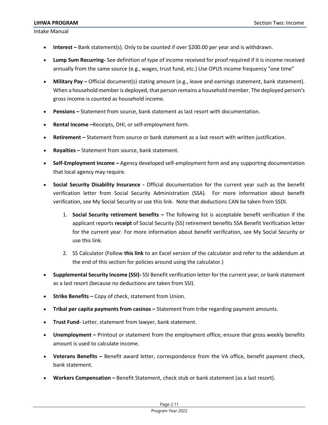- **Interest –** Bank statement(s). Only to be counted if over \$200.00 per year and is withdrawn.
- **Lump Sum Recurring-** See definition of type of income received for proof required if it is income received annually from the same source (e.g., wages, trust fund, etc.) Use OPUS income frequency "one time"
- **Military Pay –** Official document(s) stating amount (e.g., leave and earnings statement, bank statement). When a household member is deployed, that person remains a household member. The deployed person's gross income is counted as household income.
- **Pensions –** Statement from source, bank statement as last resort with documentation.
- **Rental Income –**Receipts, DHI, or self-employment form.
- **Retirement –** Statement from source or bank statement as a last resort with written justification.
- **Royalties –** Statement from source, bank statement.
- **Self-Employment Income –** Agency developed self-employment form and any supporting documentation that local agency may require.
- **Social Security Disability Insurance -** Official documentation for the current year such as the benefit verification letter from Social Security Administration (SSA). For more information about benefit verification, see My Social Security or use this link. Note that deductions CAN be taken from SSDI.
	- 1. **Social Security retirement benefits –** The following list is acceptable benefit verification if the applicant reports **receipt** of Social Security (SS) retirement benefits SSA Benefit Verification letter for the current year. For more information about benefit verification, see My Social Security or use this link.
	- 2. SS Calculator (Follow **this link** to an Excel version of the calculator and refer to the addendum at the end of this section for policies around using the calculator.)
- **Supplemental Security Income (SSI)-** SSI Benefit verification letter for the current year, or bank statement as a last resort (because no deductions are taken from SSI).
- **Strike Benefits –** Copy of check, statement from Union.
- **Tribal per capita payments from casinos –** Statement from tribe regarding payment amounts.
- **Trust Fund-** Letter, statement from lawyer, bank statement.
- **Unemployment –** Printout or statement from the employment office; ensure that gross weekly benefits amount is used to calculate income.
- **Veterans Benefits –** Benefit award letter, correspondence from the VA office, benefit payment check, bank statement.
- **Workers Compensation –** Benefit Statement, check stub or bank statement (as a last resort).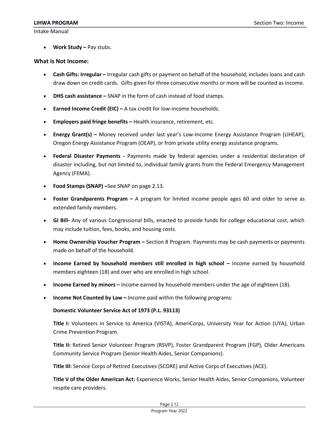• **Work Study –** Pay stubs.

### <span id="page-38-0"></span>**What Is Not Income:**

- **Cash Gifts: Irregular –** Irregular cash gifts or payment on behalf of the household, includes loans and cash draw down on credit cards. Gifts given for three consecutive months or more will be counted as income.
- **DHS cash assistance –** SNAP in the form of cash instead of food stamps.
- **Earned Income Credit (EIC) –** A tax credit for low-income households.
- **Employers paid fringe benefits –** Health insurance, retirement, etc.
- **Energy Grant(s) –** Money received under last year's Low-Income Energy Assistance Program (LIHEAP), Oregon Energy Assistance Program (OEAP), or from private utility energy assistance programs.
- **Federal Disaster Payments -** Payments made by federal agencies under a residential declaration of disaster including, but not limited to, individual family grants from the Federal Emergency Management Agency (FEMA).
- **Food Stamps (SNAP) –**See SNAP on page 2.13.
- **Foster Grandparents Program –** A program for limited income people ages 60 and older to serve as extended family members.
- **GI Bill-** Any of various Congressional bills, enacted to provide funds for college educational cost, which may include tuition, fees, books, and housing costs.
- **Home Ownership Voucher Program –** Section 8 Program. Payments may be cash payments or payments made on behalf of the household.
- **Income Earned by household members still enrolled in high school –** Income earned by household members eighteen (18) and over who are enrolled in high school.
- **Income Earned by minors –** Income earned by household members under the age of eighteen (18).
- **Income Not Counted by Law –** Income paid within the following programs:

**Domestic Volunteer Service Act of 1973 (P.L. 93113)**

**Title I:** Volunteers in Service to America (VISTA), AmeriCorps, University Year for Action (UYA), Urban Crime Prevention Program.

**Title II:** Retired Senior Volunteer Program (RSVP), Foster Grandparent Program (FGP), Older Americans Community Service Program (Senior Health Aides, Senior Companions).

**Title III:** Service Corps of Retired Executives (SCORE) and Active Corps of Executives (ACE).

**Title V of the Older American Act:** Experience Works, Senior Health Aides, Senior Companions, Volunteer respite care providers.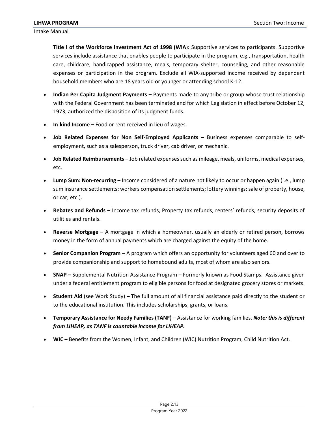**Title I of the Workforce Investment Act of 1998 (WIA**)**:** Supportive services to participants. Supportive services include assistance that enables people to participate in the program, e.g., transportation, health care, childcare, handicapped assistance, meals, temporary shelter, counseling, and other reasonable expenses or participation in the program. Exclude all WIA-supported income received by dependent household members who are 18 years old or younger or attending school K-12.

- **Indian Per Capita Judgment Payments –** Payments made to any tribe or group whose trust relationship with the Federal Government has been terminated and for which Legislation in effect before October 12, 1973, authorized the disposition of its judgment funds.
- **In**-**kind Income –** Food or rent received in lieu of wages.
- **Job Related Expenses for Non Self-Employed Applicants –** Business expenses comparable to selfemployment, such as a salesperson, truck driver, cab driver, or mechanic.
- **Job Related Reimbursements –** Job related expensessuch as mileage, meals, uniforms, medical expenses, etc.
- **Lump Sum: Non-recurring –** Income considered of a nature not likely to occur or happen again (i.e., lump sum insurance settlements; workers compensation settlements; lottery winnings; sale of property, house, or car; etc.).
- **Rebates and Refunds –** Income tax refunds, Property tax refunds, renters' refunds, security deposits of utilities and rentals.
- **Reverse Mortgage –** A mortgage in which a homeowner, usually an elderly or retired person, borrows money in the form of annual payments which are charged against the equity of the home.
- **Senior Companion Program –** A program which offers an opportunity for volunteers aged 60 and over to provide companionship and support to homebound adults, most of whom are also seniors.
- **SNAP –** Supplemental Nutrition Assistance Program Formerly known as Food Stamps. Assistance given under a federal entitlement program to eligible persons for food at designated grocery stores or markets.
- **Student Aid** (see Work Study) **–** The full amount of all financial assistance paid directly to the student or to the educational institution. This includes scholarships, grants, or loans.
- **Temporary Assistance for Needy Families (TANF)** Assistance for working families. *Note: this is different from LIHEAP, as TANF is countable income for LIHEAP.*
- **WIC –** Benefits from the Women, Infant, and Children (WIC) Nutrition Program, Child Nutrition Act.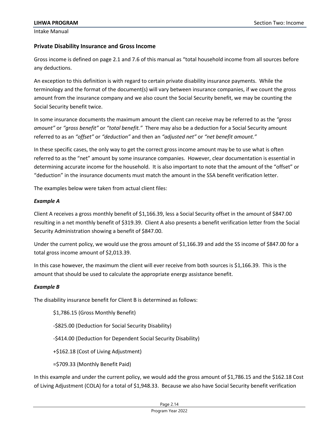### <span id="page-40-0"></span>**Private Disability Insurance and Gross Income**

Gross income is defined on page 2.1 and 7.6 of this manual as "total household income from all sources before any deductions.

An exception to this definition is with regard to certain private disability insurance payments. While the terminology and the format of the document(s) will vary between insurance companies, if we count the gross amount from the insurance company and we also count the Social Security benefit, we may be counting the Social Security benefit twice.

In some insurance documents the maximum amount the client can receive may be referred to as the *"gross amount"* or *"gross benefit"* or *"total benefit."* There may also be a deduction for a Social Security amount referred to as an *"offset"* or *"deduction"* and then an *"adjusted net"* or *"net benefit amount."*

In these specific cases, the only way to get the correct gross income amount may be to use what is often referred to as the "net" amount by some insurance companies. However, clear documentation is essential in determining accurate income for the household. It is also important to note that the amount of the "offset" or "deduction" in the insurance documents must match the amount in the SSA benefit verification letter.

The examples below were taken from actual client files:

### *Example A*

Client A receives a gross monthly benefit of \$1,166.39, less a Social Security offset in the amount of \$847.00 resulting in a net monthly benefit of \$319.39. Client A also presents a benefit verification letter from the Social Security Administration showing a benefit of \$847.00.

Under the current policy, we would use the gross amount of \$1,166.39 and add the SS income of \$847.00 for a total gross income amount of \$2,013.39.

In this case however, the maximum the client will ever receive from both sources is \$1,166.39. This is the amount that should be used to calculate the appropriate energy assistance benefit.

### *Example B*

The disability insurance benefit for Client B is determined as follows:

\$1,786.15 (Gross Monthly Benefit)

-\$825.00 (Deduction for Social Security Disability)

-\$414.00 (Deduction for Dependent Social Security Disability)

+\$162.18 (Cost of Living Adjustment)

=\$709.33 (Monthly Benefit Paid)

In this example and under the current policy, we would add the gross amount of \$1,786.15 and the \$162.18 Cost of Living Adjustment (COLA) for a total of \$1,948.33. Because we also have Social Security benefit verification

Page 2.14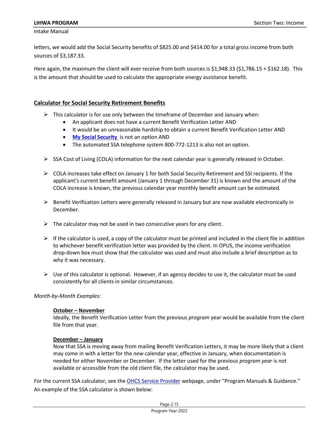letters, we would add the Social Security benefits of \$825.00 and \$414.00 for a total gross income from both sources of \$3,187.33.

Here again, the maximum the client will ever receive from both sources is \$1,948.33 (\$1,786.15 + \$162.18). This is the amount that should be used to calculate the appropriate energy assistance benefit.

### **Calculator for Social Security Retirement Benefits**

- $\triangleright$  This calculator is for use only between the timeframe of December and January when:
	- An applicant does not have a current Benefit Verification Letter AND
	- It would be an unreasonable hardship to obtain a current Benefit Verification Letter AND
	- **My Social Security** is not an option AND
	- The automated SSA telephone system 800-772-1213 is also not an option.
- $\triangleright$  SSA Cost of Living (COLA) information for the next calendar year is generally released in October.
- $\triangleright$  COLA increases take effect on January 1 for both Social Security Retirement and SSI recipients. If the applicant's current benefit amount (January 1 through December 31) is known and the amount of the COLA increase is known, the previous calendar year monthly benefit amount can be estimated.
- $\triangleright$  Benefit Verification Letters were generally released in January but are now available electronically in December.
- $\triangleright$  The calculator may not be used in two consecutive years for any client.
- $\triangleright$  If the calculator is used, a copy of the calculator must be printed and included in the client file in addition to whichever benefit verification letter was provided by the client. In OPUS, the income verification drop-down box must show that the calculator was used and must also include a brief description as to why it was necessary.
- $\triangleright$  Use of this calculator is optional. However, if an agency decides to use it, the calculator must be used consistently for all clients in similar circumstances.

### *Month-by-Month Examples:*

### **October – November**

Ideally, the Benefit Verification Letter from the previous *program* year would be available from the client file from that year.

### **December – January**

Now that SSA is moving away from mailing Benefit Verification Letters, it may be more likely that a client may come in with a letter for the *new* calendar year, effective in January, when documentation is needed for either November or December. If the letter used for the previous *program year* is not available or accessible from the old client file, the calculator may be used.

For the current SSA calculator, see the [OHCS Service Provider](https://www.oregon.gov/ohcs/energy-weatherization/Pages/energy-service-provider-resources.aspx) webpage, under "Program Manuals & Guidance." An example of the SSA calculator is shown below: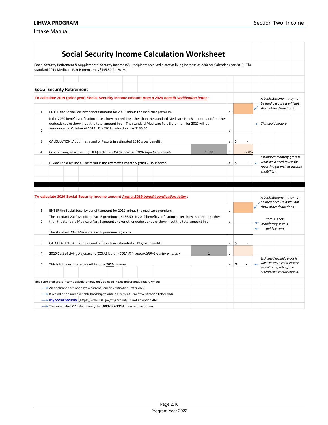|                                                                                             | <b>Social Security Income Calculation Worksheet</b>                                                                                                                                                                                                                                             |    |                      |   |                                                                                         |
|---------------------------------------------------------------------------------------------|-------------------------------------------------------------------------------------------------------------------------------------------------------------------------------------------------------------------------------------------------------------------------------------------------|----|----------------------|---|-----------------------------------------------------------------------------------------|
|                                                                                             | Social Security Retirement & Supplemental Security Income (SSI) recipients received a cost of living increase of 2.8% for Calendar Year 2019. The<br>standard 2019 Medicare Part B premium is \$135.50 for 2019.                                                                                |    |                      |   |                                                                                         |
|                                                                                             |                                                                                                                                                                                                                                                                                                 |    |                      |   |                                                                                         |
|                                                                                             |                                                                                                                                                                                                                                                                                                 |    |                      |   |                                                                                         |
|                                                                                             | <b>Social Security Retirement</b>                                                                                                                                                                                                                                                               |    |                      |   |                                                                                         |
|                                                                                             | To calculate 2019 (prior year) Social Security income amount from a 2020 benefit verification letter:                                                                                                                                                                                           |    |                      |   | A bank statement may not                                                                |
|                                                                                             |                                                                                                                                                                                                                                                                                                 |    |                      |   | be used because it will not<br>show other deductions.                                   |
| $\mathbf{1}$                                                                                | ENTER the Social Security benefit amount for 2020, minus the medicare premium.                                                                                                                                                                                                                  | a. |                      |   |                                                                                         |
| $\overline{2}$                                                                              | If the 2020 benefit verification letter shows something other than the standard Medicare Part B amount and/or other<br>deductions are shown, put the total amount in b. The standard Medicare Part B premium for 2020 will be<br>announced in October of 2019. The 2019 deduction was \$135.50. | b. |                      |   | $\leftarrow$ This could be zero.                                                        |
|                                                                                             |                                                                                                                                                                                                                                                                                                 |    |                      |   |                                                                                         |
| 3                                                                                           | CALCULATION: Adds lines a and b (Results in estimated 2020 gross benefit).                                                                                                                                                                                                                      | c. | Ś.<br>$\overline{a}$ |   |                                                                                         |
| 4                                                                                           | 1.028<br>Cost of living adjustment (COLA) factor <cola %="" 100)="1=factor" entered="" increase=""></cola>                                                                                                                                                                                      | d. | 2.8%                 |   |                                                                                         |
| 5<br>Divide line d by line c. The result is the <b>estimated</b> monthly gross 2019 income. |                                                                                                                                                                                                                                                                                                 |    | \$                   |   | Estimated monthly gross is<br>what we'd need to use for<br>reporting (as well as income |
|                                                                                             |                                                                                                                                                                                                                                                                                                 |    |                      |   | eligibility).                                                                           |
|                                                                                             |                                                                                                                                                                                                                                                                                                 |    |                      |   |                                                                                         |
|                                                                                             |                                                                                                                                                                                                                                                                                                 |    |                      |   |                                                                                         |
|                                                                                             | To calculate 2020 Social Security income amount from a 2019 benefit verification letter:                                                                                                                                                                                                        |    |                      |   | A bank statement may not                                                                |
|                                                                                             |                                                                                                                                                                                                                                                                                                 |    |                      |   | be used because it will not<br>show other deductions.                                   |
| $\mathbf{1}$                                                                                | ENTER the Social Security benefit amount for 2019, minus the medicare premium.                                                                                                                                                                                                                  | a. |                      |   |                                                                                         |
| 2                                                                                           | The standard 2019 Medicare Part B premium is \$135.50. If 2019 benefit verification letter shows something other<br>than the standard Medicare Part B amount and/or other deductions are shown, put the total amount in b.                                                                      | b. |                      |   | Part B is not                                                                           |
|                                                                                             |                                                                                                                                                                                                                                                                                                 |    |                      | ٠ | mandatory so this<br>could be zero.                                                     |
|                                                                                             | The standard 2020 Medicare Part B premium is \$xxx.xx                                                                                                                                                                                                                                           |    |                      |   |                                                                                         |
| 3                                                                                           | CALCULATION: Adds lines a and b (Results in estimated 2019 gross benefit).                                                                                                                                                                                                                      | c. | \$                   |   |                                                                                         |
|                                                                                             |                                                                                                                                                                                                                                                                                                 |    |                      |   |                                                                                         |
| 4                                                                                           | 2020 Cost of Living Adjustment (COLA) factor <cola %="" 100)="1=factor" entered="" increase=""><br/><math>\overline{1}</math></cola>                                                                                                                                                            | d. |                      |   | Estimated monthly gross is                                                              |
| 5                                                                                           | This is is the estimated monthly gross 2020 income.                                                                                                                                                                                                                                             | e. | \$                   |   | what we will use for income<br>eligibility, reporting, and                              |
|                                                                                             |                                                                                                                                                                                                                                                                                                 |    |                      |   | determining energy burden.                                                              |
|                                                                                             | This estimated gross income calculator may only be used in December and January when:                                                                                                                                                                                                           |    |                      |   |                                                                                         |
|                                                                                             | An applicant does not have a current Benefit Verification Letter AND                                                                                                                                                                                                                            |    |                      |   |                                                                                         |
|                                                                                             | It would be an unreasonable hardship to obtain a current Benefit Verification Letter AND                                                                                                                                                                                                        |    |                      |   |                                                                                         |
|                                                                                             | → My Social Security (https://www.ssa.gov/myaccount/) is not an option AND                                                                                                                                                                                                                      |    |                      |   |                                                                                         |
|                                                                                             | The automated SSA telephone system 800-772-1213 is also not an option.                                                                                                                                                                                                                          |    |                      |   |                                                                                         |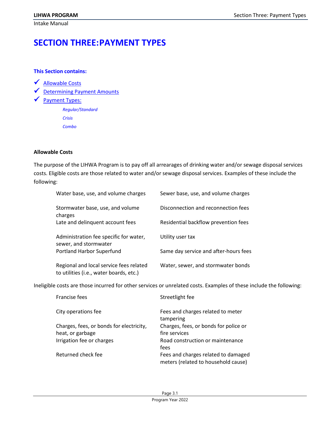## <span id="page-43-0"></span>**SECTION THREE:PAYMENT TYPES**

### **This Section contains:**

◆ [Allowable Costs](#page-43-1)

- ✓ [Determining Payment Amounts](#page-44-0)
- [Payment Types:](#page-44-2)

*Regular/Standard Crisis Combo*

### <span id="page-43-1"></span>**Allowable Costs**

The purpose of the LIHWA Program is to pay off all arrearages of drinking water and/or sewage disposal services costs. Eligible costs are those related to water and/or sewage disposal services. Examples of these include the following:

| Water base, use, and volume charges                                                | Sewer base, use, and volume charges   |
|------------------------------------------------------------------------------------|---------------------------------------|
| Stormwater base, use, and volume<br>charges                                        | Disconnection and reconnection fees   |
| Late and delinquent account fees                                                   | Residential backflow prevention fees  |
| Administration fee specific for water,<br>sewer, and stormwater                    | Utility user tax                      |
| Portland Harbor Superfund                                                          | Same day service and after-hours fees |
| Regional and local service fees related<br>to utilities (i.e., water boards, etc.) | Water, sewer, and stormwater bonds    |

Ineligible costs are those incurred for other services or unrelated costs. Examples of these include the following:

| Francise fees                            | Streetlight fee                                                            |
|------------------------------------------|----------------------------------------------------------------------------|
| City operations fee                      | Fees and charges related to meter<br>tampering                             |
| Charges, fees, or bonds for electricity, | Charges, fees, or bonds for police or                                      |
| heat, or garbage                         | fire services                                                              |
| Irrigation fee or charges                | Road construction or maintenance<br>fees                                   |
| Returned check fee                       | Fees and charges related to damaged<br>meters (related to household cause) |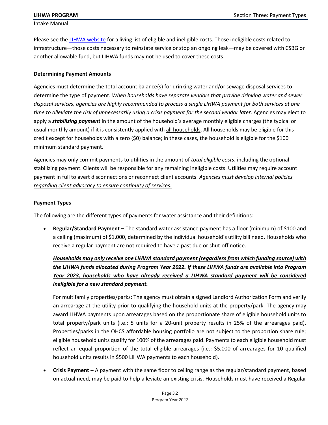Please see the [LIHWA website](https://www.oregon.gov/ohcs/energy-weatherization/Pages/Low-Income-Household-Water-Assistance-Program.aspx) for a living list of eligible and ineligible costs. Those ineligible costs related to infrastructure—those costs necessary to reinstate service or stop an ongoing leak—may be covered with CSBG or another allowable fund, but LIHWA funds may not be used to cover these costs.

### <span id="page-44-2"></span><span id="page-44-0"></span>**Determining Payment Amounts**

Agencies must determine the total account balance(s) for drinking water and/or sewage disposal services to determine the type of payment. *When households have separate vendors that provide drinking water and sewer disposal services, agencies are highly recommended to process a single LIHWA payment for both services at one time to alleviate the risk of unnecessarily using a crisis payment for the second vendor later.* Agencies may elect to apply a *stabilizing payment* in the amount of the household's average monthly eligible charges (the typical or usual monthly amount) if it is consistently applied with all households. All households may be eligible for this credit except for households with a zero (\$0) balance; in these cases, the household is eligible for the \$100 minimum standard payment.

Agencies may only commit payments to utilities in the amount of *total eligible costs*, including the optional stabilizing payment. Clients will be responsible for any remaining ineligible costs. Utilities may require account payment in full to avert disconnections or reconnect client accounts. *Agencies must develop internal policies regarding client advocacy to ensure continuity of services.*

### <span id="page-44-1"></span>**Payment Types**

The following are the different types of payments for water assistance and their definitions:

• **Regular/Standard Payment –** The standard water assistance payment has a floor (minimum) of \$100 and a ceiling (maximum) of \$1,000, determined by the individual household's utility bill need. Households who receive a regular payment are not required to have a past due or shut-off notice.

*Households may only receive one LIHWA standard payment (regardless from which funding source) with the LIHWA funds allocated during Program Year 2022. If these LIHWA funds are available into Program Year 2023, households who have already received a LIHWA standard payment will be considered ineligible for a new standard payment.*

For multifamily properties/parks: The agency must obtain a signed Landlord Authorization Form and verify an arrearage at the utility prior to qualifying the household units at the property/park. The agency may award LIHWA payments upon arrearages based on the proportionate share of eligible household units to total property/park units (i.e.: 5 units for a 20-unit property results in 25% of the arrearages paid). Properties/parks in the OHCS affordable housing portfolio are not subject to the proportion share rule; eligible household units qualify for 100% of the arrearages paid. Payments to each eligible household must reflect an equal proportion of the total eligible arrearages (i.e.: \$5,000 of arrearages for 10 qualified household units results in \$500 LIHWA payments to each household).

• **Crisis Payment –** A payment with the same floor to ceiling range as the regular/standard payment, based on actual need, may be paid to help alleviate an existing crisis. Households must have received a Regular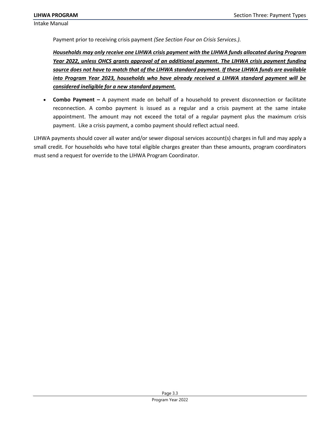Payment prior to receiving crisis payment *(See Section Four on Crisis Services.).*

*Households may only receive one LIHWA crisis payment with the LIHWA funds allocated during Program Year 2022, unless OHCS grants approval of an additional payment. The LIHWA crisis payment funding source does not have to match that of the LIHWA standard payment. If these LIHWA funds are available into Program Year 2023, households who have already received a LIHWA standard payment will be considered ineligible for a new standard payment.*

• **Combo Payment –** A payment made on behalf of a household to prevent disconnection or facilitate reconnection. A combo payment is issued as a regular and a crisis payment at the same intake appointment. The amount may not exceed the total of a regular payment plus the maximum crisis payment. Like a crisis payment, a combo payment should reflect actual need.

LIHWA payments should cover all water and/or sewer disposal services account(s) charges in full and may apply a small credit. For households who have total eligible charges greater than these amounts, program coordinators must send a request for override to the LIHWA Program Coordinator.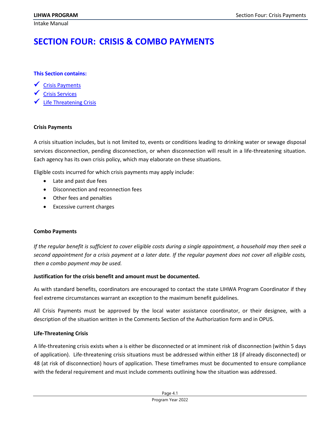## <span id="page-46-0"></span>**SECTION FOUR: CRISIS & COMBO PAYMENTS**

### **This Section contains:**

- ✓ [Crisis Payments](#page-46-1)
- ✓ [Crisis Services](#page-46-3)
- <span id="page-46-1"></span>✓ [Life Threatening Crisis](#page-46-3)

### **Crisis Payments**

A crisis situation includes, but is not limited to, events or conditions leading to drinking water or sewage disposal services disconnection, pending disconnection, or when disconnection will result in a life-threatening situation. Each agency has its own crisis policy, which may elaborate on these situations.

Eligible costs incurred for which crisis payments may apply include:

- Late and past due fees
- Disconnection and reconnection fees
- Other fees and penalties
- <span id="page-46-2"></span>• Excessive current charges

### **Combo Payments**

*If the regular benefit is sufficient to cover eligible costs during a single appointment, a household may then seek a second appointment for a crisis payment at a later date. If the regular payment does not cover all eligible costs, then a combo payment may be used.*

### **Justification for the crisis benefit and amount must be documented.**

As with standard benefits, coordinators are encouraged to contact the state LIHWA Program Coordinator if they feel extreme circumstances warrant an exception to the maximum benefit guidelines.

All Crisis Payments must be approved by the local water assistance coordinator, or their designee, with a description of the situation written in the Comments Section of the Authorization form and in OPUS.

### <span id="page-46-3"></span>**Life-Threatening Crisis**

A life-threatening crisis exists when a is either be disconnected or at imminent risk of disconnection (within 5 days of application). Life-threatening crisis situations must be addressed within either 18 (if already disconnected) or 48 (at risk of disconnection) hours of application. These timeframes must be documented to ensure compliance with the federal requirement and must include comments outlining how the situation was addressed.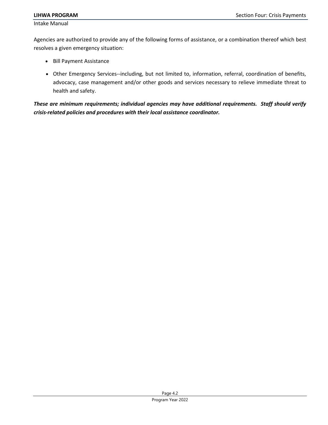Agencies are authorized to provide any of the following forms of assistance, or a combination thereof which best resolves a given emergency situation:

- Bill Payment Assistance
- Other Emergency Services--including, but not limited to, information, referral, coordination of benefits, advocacy, case management and/or other goods and services necessary to relieve immediate threat to health and safety.

*These are minimum requirements; individual agencies may have additional requirements. Staff should verify crisis-related policies and procedures with their local assistance coordinator.*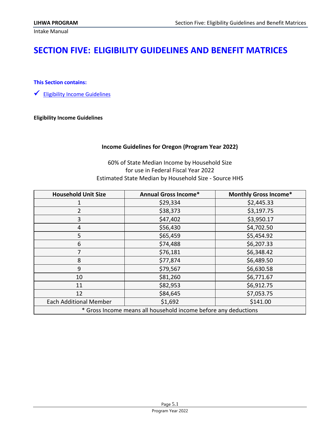## <span id="page-48-0"></span>**SECTION FIVE: ELIGIBILITY GUIDELINES AND BENEFIT MATRICES**

**This Section contains:**

<span id="page-48-1"></span>✓ [Eligibility Income Guidelines](#page-48-1)

**Eligibility Income Guidelines**

### **Income Guidelines for Oregon (Program Year 2022)**

## 60% of State Median Income by Household Size for use in Federal Fiscal Year 2022 Estimated State Median by Household Size - Source HHS

| <b>Household Unit Size</b>                                      | <b>Annual Gross Income*</b> | <b>Monthly Gross Income*</b> |  |  |
|-----------------------------------------------------------------|-----------------------------|------------------------------|--|--|
|                                                                 | \$29,334                    | \$2,445.33                   |  |  |
| 2                                                               | \$38,373                    | \$3,197.75                   |  |  |
| 3                                                               | \$47,402                    | \$3,950.17                   |  |  |
| 4                                                               | \$56,430                    | \$4,702.50                   |  |  |
| 5                                                               | \$65,459                    | \$5,454.92                   |  |  |
| 6                                                               | \$74,488                    | \$6,207.33                   |  |  |
| 7                                                               | \$76,181                    | \$6,348.42                   |  |  |
| 8                                                               | \$77,874                    | \$6,489.50                   |  |  |
| 9                                                               | \$79,567                    | \$6,630.58                   |  |  |
| 10                                                              | \$81,260                    | \$6,771.67                   |  |  |
| 11                                                              | \$82,953                    | \$6,912.75                   |  |  |
| 12                                                              | \$84,645                    | \$7,053.75                   |  |  |
| <b>Each Additional Member</b>                                   | \$1,692                     | \$141.00                     |  |  |
| * Gross Income means all household income before any deductions |                             |                              |  |  |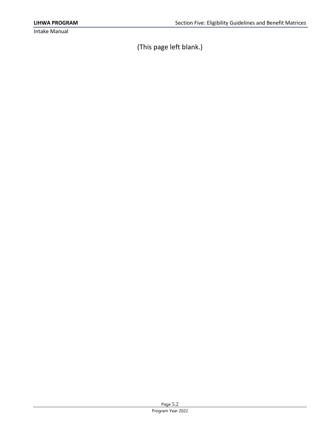(This page left blank.)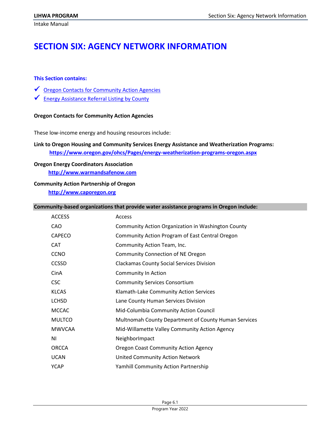## <span id="page-50-0"></span>**SECTION SIX: AGENCY NETWORK INFORMATION**

### **This Section contains:**

- ✓ [Oregon Contacts for Community Action Agencies](#page-50-1)
- ✓ [Energy Assistance Referral Listing by County](#page-51-0)

### <span id="page-50-1"></span>**Oregon Contacts for Community Action Agencies**

These low-income energy and housing resources include:

## **Link to Oregon Housing and Community Services Energy Assistance and Weatherization Programs: <https://www.oregon.gov/ohcs/Pages/energy-weatherization-programs-oregon.aspx>**

### **Oregon Energy Coordinators Association**

**[http://www.warmandsafenow.com](http://www.warmandsafenow.com/)**

### **Community Action Partnership of Oregon**

**[http://www.caporegon.org](http://www.caporegon.org/)**

### **Community-based organizations that provide water assistance programs in Oregon include:**

| <b>ACCESS</b> | Access                                               |
|---------------|------------------------------------------------------|
| CAO           | Community Action Organization in Washington County   |
| CAPECO        | Community Action Program of East Central Oregon      |
| <b>CAT</b>    | Community Action Team, Inc.                          |
| <b>CCNO</b>   | <b>Community Connection of NE Oregon</b>             |
| <b>CCSSD</b>  | <b>Clackamas County Social Services Division</b>     |
| CinA          | <b>Community In Action</b>                           |
| <b>CSC</b>    | <b>Community Services Consortium</b>                 |
| <b>KLCAS</b>  | Klamath-Lake Community Action Services               |
| <b>LCHSD</b>  | Lane County Human Services Division                  |
| <b>MCCAC</b>  | Mid-Columbia Community Action Council                |
| <b>MULTCO</b> | Multnomah County Department of County Human Services |
| <b>MWVCAA</b> | Mid-Willamette Valley Community Action Agency        |
| ΝI            | NeighborImpact                                       |
| <b>ORCCA</b>  | <b>Oregon Coast Community Action Agency</b>          |
| <b>UCAN</b>   | United Community Action Network                      |
| <b>YCAP</b>   | Yamhill Community Action Partnership                 |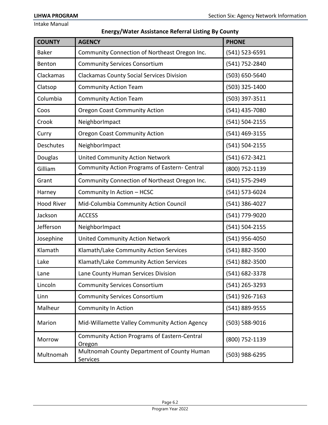<span id="page-51-0"></span>

| <b>COUNTY</b>     | <b>AGENCY</b>                                                 | <b>PHONE</b>   |
|-------------------|---------------------------------------------------------------|----------------|
| <b>Baker</b>      | Community Connection of Northeast Oregon Inc.                 | (541) 523-6591 |
| Benton            | <b>Community Services Consortium</b>                          | (541) 752-2840 |
| Clackamas         | <b>Clackamas County Social Services Division</b>              | (503) 650-5640 |
| Clatsop           | <b>Community Action Team</b>                                  | (503) 325-1400 |
| Columbia          | <b>Community Action Team</b>                                  | (503) 397-3511 |
| Coos              | <b>Oregon Coast Community Action</b>                          | (541) 435-7080 |
| Crook             | NeighborImpact                                                | (541) 504-2155 |
| Curry             | <b>Oregon Coast Community Action</b>                          | (541) 469-3155 |
| <b>Deschutes</b>  | NeighborImpact                                                | (541) 504-2155 |
| Douglas           | <b>United Community Action Network</b>                        | (541) 672-3421 |
| Gilliam           | Community Action Programs of Eastern- Central                 | (800) 752-1139 |
| Grant             | Community Connection of Northeast Oregon Inc.                 | (541) 575-2949 |
| Harney            | Community In Action - HCSC                                    | (541) 573-6024 |
| <b>Hood River</b> | Mid-Columbia Community Action Council                         | (541) 386-4027 |
| Jackson           | <b>ACCESS</b>                                                 | (541) 779-9020 |
| Jefferson         | NeighborImpact                                                | (541) 504-2155 |
| Josephine         | <b>United Community Action Network</b>                        | (541) 956-4050 |
| Klamath           | Klamath/Lake Community Action Services                        | (541) 882-3500 |
| Lake              | Klamath/Lake Community Action Services                        | (541) 882-3500 |
| Lane              | Lane County Human Services Division                           | (541) 682-3378 |
| Lincoln           | <b>Community Services Consortium</b>                          | (541) 265-3293 |
| Linn              | <b>Community Services Consortium</b>                          | (541) 926-7163 |
| Malheur           | <b>Community In Action</b>                                    | (541) 889-9555 |
| Marion            | Mid-Willamette Valley Community Action Agency                 | (503) 588-9016 |
| Morrow            | <b>Community Action Programs of Eastern-Central</b><br>Oregon | (800) 752-1139 |
| Multnomah         | Multnomah County Department of County Human<br>Services       | (503) 988-6295 |

## **Energy/Water Assistance Referral Listing By County**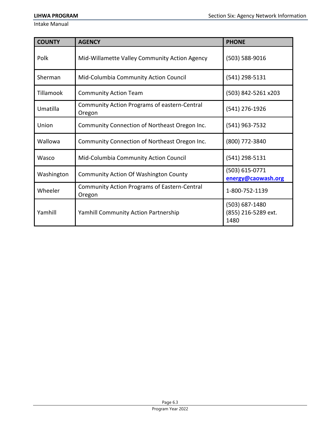| <b>COUNTY</b>    | <b>AGENCY</b>                                                 | <b>PHONE</b>                                  |
|------------------|---------------------------------------------------------------|-----------------------------------------------|
| Polk             | Mid-Willamette Valley Community Action Agency                 | (503) 588-9016                                |
| Sherman          | Mid-Columbia Community Action Council                         | (541) 298-5131                                |
| <b>Tillamook</b> | <b>Community Action Team</b>                                  | (503) 842-5261 x203                           |
| Umatilla         | Community Action Programs of eastern-Central<br>Oregon        | (541) 276-1926                                |
| Union            | Community Connection of Northeast Oregon Inc.                 | (541) 963-7532                                |
| Wallowa          | Community Connection of Northeast Oregon Inc.                 | (800) 772-3840                                |
| Wasco            | Mid-Columbia Community Action Council                         | (541) 298-5131                                |
| Washington       | <b>Community Action Of Washington County</b>                  | (503) 615-0771<br>energy@caowash.org          |
| Wheeler          | <b>Community Action Programs of Eastern-Central</b><br>Oregon | 1-800-752-1139                                |
| Yamhill          | <b>Yamhill Community Action Partnership</b>                   | (503) 687-1480<br>(855) 216-5289 ext.<br>1480 |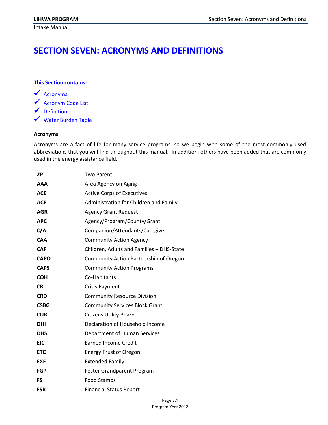## <span id="page-53-0"></span>**SECTION SEVEN: ACRONYMS AND DEFINITIONS**

### **This Section contains:**

- ✓ [Acronyms](#page-53-2)
- ✓ [Acronym Code List](#page-56-0)
- ✓ [Definitions](#page-58-0)
- ✓ Water [Burden Table](#page-61-0)

### <span id="page-53-1"></span>**Acronyms**

<span id="page-53-2"></span>Acronyms are a fact of life for many service programs, so we begin with some of the most commonly used abbreviations that you will find throughout this manual. In addition, others have been added that are commonly used in the energy assistance field.

| 2P          | <b>Two Parent</b>                         |
|-------------|-------------------------------------------|
| <b>AAA</b>  | Area Agency on Aging                      |
| <b>ACE</b>  | <b>Active Corps of Executives</b>         |
| <b>ACF</b>  | Administration for Children and Family    |
| <b>AGR</b>  | <b>Agency Grant Request</b>               |
| <b>APC</b>  | Agency/Program/County/Grant               |
| C/A         | Companion/Attendants/Caregiver            |
| <b>CAA</b>  | <b>Community Action Agency</b>            |
| <b>CAF</b>  | Children, Adults and Families - DHS-State |
| <b>CAPO</b> | Community Action Partnership of Oregon    |
| <b>CAPS</b> | <b>Community Action Programs</b>          |
| <b>COH</b>  | Co-Habitants                              |
| <b>CR</b>   | <b>Crisis Payment</b>                     |
| <b>CRD</b>  | <b>Community Resource Division</b>        |
| <b>CSBG</b> | <b>Community Services Block Grant</b>     |
| <b>CUB</b>  | <b>Citizens Utility Board</b>             |
| <b>DHI</b>  | Declaration of Household Income           |
| <b>DHS</b>  | Department of Human Services              |
| <b>EIC</b>  | <b>Earned Income Credit</b>               |
| <b>ETO</b>  | <b>Energy Trust of Oregon</b>             |
| <b>EXF</b>  | <b>Extended Family</b>                    |
| <b>FGP</b>  | <b>Foster Grandparent Program</b>         |
| FS          | <b>Food Stamps</b>                        |
| <b>FSR</b>  | <b>Financial Status Report</b>            |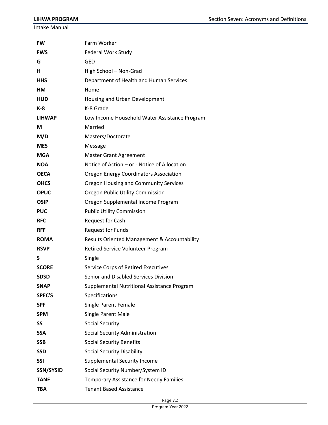| <b>FW</b>     | Farm Worker                                    |
|---------------|------------------------------------------------|
| <b>FWS</b>    | Federal Work Study                             |
| G             | <b>GED</b>                                     |
| н             | High School - Non-Grad                         |
| <b>HHS</b>    | Department of Health and Human Services        |
| HМ            | Home                                           |
| <b>HUD</b>    | Housing and Urban Development                  |
| $K-8$         | K-8 Grade                                      |
| <b>LIHWAP</b> | Low Income Household Water Assistance Program  |
| М             | Married                                        |
| M/D           | Masters/Doctorate                              |
| <b>MES</b>    | Message                                        |
| <b>MGA</b>    | <b>Master Grant Agreement</b>                  |
| <b>NOA</b>    | Notice of Action - or - Notice of Allocation   |
| <b>OECA</b>   | <b>Oregon Energy Coordinators Association</b>  |
| <b>OHCS</b>   | Oregon Housing and Community Services          |
| <b>OPUC</b>   | Oregon Public Utility Commission               |
| <b>OSIP</b>   | Oregon Supplemental Income Program             |
| <b>PUC</b>    | <b>Public Utility Commission</b>               |
| <b>RFC</b>    | <b>Request for Cash</b>                        |
| <b>RFF</b>    | <b>Request for Funds</b>                       |
| <b>ROMA</b>   | Results Oriented Management & Accountability   |
| <b>RSVP</b>   | Retired Service Volunteer Program              |
| S             | Single                                         |
| <b>SCORE</b>  | Service Corps of Retired Executives            |
| <b>SDSD</b>   | Senior and Disabled Services Division          |
| <b>SNAP</b>   | Supplemental Nutritional Assistance Program    |
| <b>SPEC'S</b> | Specifications                                 |
| <b>SPF</b>    | Single Parent Female                           |
| <b>SPM</b>    | Single Parent Male                             |
| SS            | <b>Social Security</b>                         |
| <b>SSA</b>    | Social Security Administration                 |
| <b>SSB</b>    | <b>Social Security Benefits</b>                |
| <b>SSD</b>    | <b>Social Security Disability</b>              |
| <b>SSI</b>    | Supplemental Security Income                   |
| SSN/SYSID     | Social Security Number/System ID               |
| <b>TANF</b>   | <b>Temporary Assistance for Needy Families</b> |
| TBA           | <b>Tenant Based Assistance</b>                 |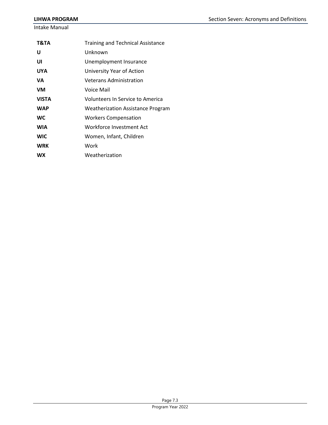| T&TA         | <b>Training and Technical Assistance</b> |
|--------------|------------------------------------------|
| U            | Unknown                                  |
| UI           | Unemployment Insurance                   |
| <b>UYA</b>   | University Year of Action                |
| VA           | <b>Veterans Administration</b>           |
| <b>VM</b>    | Voice Mail                               |
| <b>VISTA</b> | Volunteers In Service to America         |
| <b>WAP</b>   | Weatherization Assistance Program        |
| <b>WC</b>    | <b>Workers Compensation</b>              |
| <b>WIA</b>   | Workforce Investment Act                 |
| <b>WIC</b>   | Women, Infant, Children                  |
| <b>WRK</b>   | Work                                     |
| WX           | Weatherization                           |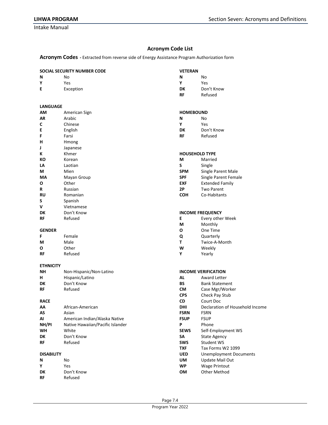### **Acronym Code List**

<span id="page-56-0"></span>**Acronym Codes -** Extracted from reverse side of Energy Assistance Program Authorization form

|   | SOCIAL SECURITY NUMBER CODE | <b>VETERAN</b> |                                 |
|---|-----------------------------|----------------|---------------------------------|
| N | No                          | N              | No.                             |
| ٧ | Yes                         |                | Yes                             |
| Е | Exception                   | DK             | Don't Know                      |
|   |                             | nг             | $D = f \cdot \cdot \cdot \cdot$ |

## **LANGUAGE**<br>AM American Sign

| AM | American Sign | <b>HOMEBOUND</b> |                         |  |
|----|---------------|------------------|-------------------------|--|
| AR | Arabic        | N                | No                      |  |
| C  | Chinese       | Υ                | Yes                     |  |
| Е  | English       | DK               | Don't Know              |  |
| F  | Farsi         | RF               | Refused                 |  |
| н  | Hmong         |                  |                         |  |
| J  | Japanese      |                  |                         |  |
| К  | Khmer         |                  | <b>HOUSEHOLD TYPE</b>   |  |
| КO | Korean        | М                | Married                 |  |
| LA | Laotian       | S                | Single                  |  |
| М  | Mien          | <b>SPM</b>       | Single Parent Male      |  |
| МA | Mayan Group   | <b>SPF</b>       | Single Parent Fema      |  |
| O  | Other         | <b>EXF</b>       | <b>Extended Family</b>  |  |
| R  | Russian       | 2P               | <b>Two Parent</b>       |  |
| RU | Romanian      | <b>COH</b>       | Co-Habitants            |  |
| S  | Spanish       |                  |                         |  |
| v  | Vietnamese    |                  |                         |  |
| DK | Don't Know    |                  | <b>INCOME FREQUENCY</b> |  |
| RF | Refused       | E                | Every other Week        |  |
|    |               | M                | Monthly                 |  |

| F         | Female  | O | Quarter |
|-----------|---------|---|---------|
| M         | Male    |   | Twice-A |
| O         | Other   | W | Weekly  |
| <b>RF</b> | Refused |   | Yearly  |

### **ETHNICITY**

| <b>NH</b> | Non-Hispanic/Non-Latino | <b>INCOME VERIFICATION</b> |                       |
|-----------|-------------------------|----------------------------|-----------------------|
| н         | Hispanic/Latino         | AL                         | Award Letter          |
| DK        | Don't Know              | BS                         | <b>Bank Statement</b> |
| RF        | Refused                 | СM                         | Case Mgr/Worker       |

| AA        | African-American                 | <b>DHI</b>  | Declaration of Household Income |
|-----------|----------------------------------|-------------|---------------------------------|
| AS        | Asian                            | <b>FSRN</b> | <b>FSRN</b>                     |
| AI        | American Indian/Alaska Native    | <b>FSUP</b> | <b>FSUP</b>                     |
| NH/PI     | Native Hawaiian/Pacific Islander | P           | Phone                           |
| <b>WH</b> | White                            | <b>SEWS</b> | Self-Employment WS              |
| DK        | Don't Know                       | SΑ          | <b>State Agency</b>             |
| <b>RF</b> | Refused                          | <b>SWS</b>  | Student WS                      |

| N  | No         |
|----|------------|
| v  | Yes        |
| DK | Don't Know |
| RF | Refused    |

**RF** Refused

| <b>HOMEBOUND</b> |  |
|------------------|--|
|                  |  |

| N  | <b>NO</b>  |
|----|------------|
| ٧  | Yes        |
| DK | Don't Know |
| RF | Refused    |

### **HOUSEHOLD TYPE**

| КO | Korean      | м          | Married                |
|----|-------------|------------|------------------------|
| LА | Laotian     | S          | Single                 |
| М  | Mien        | <b>SPM</b> | Single Parent Male     |
| MA | Mayan Group | <b>SPF</b> | Single Parent Female   |
| O  | Other       | <b>EXF</b> | <b>Extended Family</b> |
| R  | Russian     | 2P         | <b>Two Parent</b>      |
| RU | Romanian    | <b>COH</b> | Co-Habitants           |

### **INCOME FREQUENCY**

- **M** Monthly<br>**O** One Time
- **GENDER O** One Time
	- **Q** Quarterly
	- **T** Twice-A-Month
	-
	-

## **INCOME VERIFICATION**<br>AL Award Latter

| н          | Hispanic/Latino                  | AL          | Award Letter                  |
|------------|----------------------------------|-------------|-------------------------------|
| DK         | Don't Know                       | BS          | <b>Bank Statement</b>         |
| RF         | Refused                          | <b>CM</b>   | Case Mgr/Worker               |
|            |                                  | <b>CPS</b>  | Check Pay Stub                |
| RACE       |                                  | <b>CD</b>   | Court Doc                     |
| ΑА         | African-American                 | <b>DHI</b>  | Declaration of Household Inco |
| AS         | Asian                            | <b>FSRN</b> | <b>FSRN</b>                   |
| Al         | American Indian/Alaska Native    | <b>FSUP</b> | <b>FSUP</b>                   |
| NH/PI      | Native Hawaiian/Pacific Islander | P           | Phone                         |
| WН         | White                            | <b>SEWS</b> | Self-Employment WS            |
| DK         | Don't Know                       | SA          | <b>State Agency</b>           |
| RF         | Refused                          | <b>SWS</b>  | <b>Student WS</b>             |
|            |                                  | TXF         | Tax Forms W2 1099             |
| DISABILITY |                                  | <b>UED</b>  | <b>Unemployment Documents</b> |
| Ν          | No                               | UM          | Update Mail Out               |
| Y          | Yes                              | <b>WP</b>   | <b>Wage Printout</b>          |
| DK         | Don't Know                       | OМ          | Other Method                  |
|            |                                  |             |                               |

Page 7.4

Program Year 2022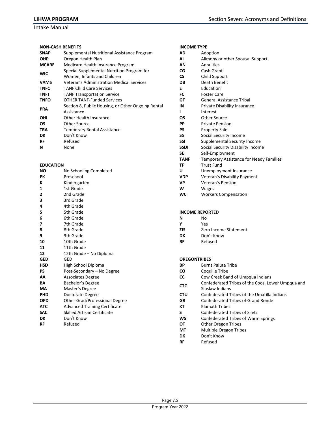### **NON-CASH BENEFITS INCOME TYPE**

| <b>SNAP</b>  | Supplemental Nutritional Assistance Program        | AD        | Adoption                          |
|--------------|----------------------------------------------------|-----------|-----------------------------------|
| <b>OHP</b>   | Oregon Health Plan                                 | AL        | Alimony or other Spousal Support  |
| <b>MCARE</b> | Medicare Health Insurance Program                  | AN        | Annuities                         |
| <b>WIC</b>   | Special Supplemental Nutrition Program for         | CG        | Cash Grant                        |
|              | Women, Infants and Children                        | <b>CS</b> | Child Support                     |
| <b>VAMS</b>  | <b>Veteran's Administration Medical Services</b>   | DB        | Death Benefit                     |
| <b>TNFC</b>  | <b>TANF Child Care Services</b>                    | E.        | Education                         |
| <b>TNFT</b>  | <b>TANF Transportation Service</b>                 | FC        | <b>Foster Care</b>                |
| <b>TNFO</b>  | <b>OTHER TANF-Funded Services</b>                  | GТ        | <b>General Assistance Tribal</b>  |
| <b>PRA</b>   | Section 8, Public Housing, or Other Ongoing Rental | IN        | Private Disability Insurance      |
|              | Assistance                                         |           | Interest                          |
| <b>OHI</b>   | <b>Other Health Insurance</b>                      | OS        | Other Source                      |
| <b>OS</b>    | Other Source                                       | РP        | <b>Private Pension</b>            |
| <b>TRA</b>   | <b>Temporary Rental Assistance</b>                 | PS        | <b>Property Sale</b>              |
| DK.          | Don't Know                                         | SS        | Social Security Income            |
| RF           | Refused                                            | SSI       | Supplemental Security Income      |
| N            | None                                               | SSDI      | Social Security Disability Income |

### **EDUCATION**

| <b>NO</b>  | No Schooling Completed                | U          | Unemployment Insurance               |
|------------|---------------------------------------|------------|--------------------------------------|
| PК         | Preschool                             | <b>VDP</b> | Veteran's Disability Payment         |
| К          | Kindergarten                          | <b>VP</b>  | Veteran's Pension                    |
| 1          | 1st Grade                             | W          | <b>Wages</b>                         |
| 2          | 2nd Grade                             | <b>WC</b>  | <b>Workers Compensation</b>          |
| 3          | 3rd Grade                             |            |                                      |
| 4          | 4th Grade                             |            |                                      |
| 5          | 5th Grade                             |            | <b>INCOME REPORTED</b>               |
| 6          | 6th Grade                             | N          | No                                   |
| 7          | 7th Grade                             | Υ          | Yes                                  |
| 8          | 8th Grade                             | <b>ZIS</b> | Zero Income Statement                |
| 9          | 9th Grade                             | DK         | Don't Know                           |
| 10         | 10th Grade                            | RF         | Refused                              |
| 11         | 11th Grade                            |            |                                      |
| 12         | 12th Grade - No Diploma               |            |                                      |
| <b>GED</b> | GED                                   |            | <b>OREGONTRIBES</b>                  |
| <b>HSD</b> | High School Diploma                   | ВP         | <b>Burns Paiute Tribe</b>            |
| PS         | Post-Secondary - No Degree            | <b>CO</b>  | Coquille Tribe                       |
| AA         | <b>Associates Degree</b>              | <b>CC</b>  | Cow Creek Band of Umpqua             |
| BA         | Bachelor's Degree                     |            | Confederated Tribes of the C         |
| MA         | Master's Degree                       | <b>CTC</b> | Siuslaw Indians                      |
| <b>PHD</b> | Doctorate Degree                      | <b>CTU</b> | Confederated Tribes of the U         |
| <b>OPD</b> | <b>Other Grad/Professional Degree</b> | <b>GR</b>  | Confederated Tribes of Gran          |
| <b>ATC</b> | <b>Advanced Training Certificate</b>  | КT         | <b>Klamath Tribes</b>                |
| <b>SAC</b> | <b>Skilled Artisan Certificate</b>    | S          | <b>Confederated Tribes of Siletz</b> |
| DK         | Don't Know                            | <b>WS</b>  | <b>Confederated Tribes of Warr</b>   |
| <b>RF</b>  | Refused                               | OT         | <b>Other Oregon Tribes</b>           |

| AD          | Adoption                                       |
|-------------|------------------------------------------------|
| AL          | Alimony or other Spousal Support               |
| ΑN          | Annuities                                      |
| CG          | Cash Grant                                     |
| CS.         | Child Support                                  |
| DB          | Death Benefit                                  |
| F           | Education                                      |
| FC          | <b>Foster Care</b>                             |
| GТ          | <b>General Assistance Tribal</b>               |
| IN          | Private Disability Insurance                   |
| п           | Interest                                       |
| OS          | Other Source                                   |
| РP          | <b>Private Pension</b>                         |
| PS          | <b>Property Sale</b>                           |
| SS          | Social Security Income                         |
| SSI         | <b>Supplemental Security Income</b>            |
| <b>SSDI</b> | Social Security Disability Income              |
| SE          | Self-Employment                                |
| TANF        | <b>Temporary Assistance for Needy Families</b> |
| ТF          | <b>Trust Fund</b>                              |
| U           | Unemployment Insurance                         |
| <b>VDP</b>  | Veteran's Disability Payment                   |
| VP          | Veteran's Pension                              |
| w           | <b>Wages</b>                                   |
| wc          | <b>Workers Compensation</b>                    |
|             |                                                |

### **INCOME REPORTED**

| N   | No                |
|-----|-------------------|
| ν   | Yes               |
| ZIS | Zero Income State |

- **9 9th Brade Brade Brade Brade Brade Brade Brade Brade Brade Brade Brade Brade Brade Brade Brade Brade Brade Br**<br>Refused
- 

## **GREGONTRIBES**<br>**BP** Burns

- **CO** Coquille Tribe
- **CC** Cow Creek Band of Umpqua Indians
- **BACHELORY CONFEDERATED CONFEDERATES CONFEDERATION CTC CONFEDERATION CONFERENCES Siuslaw Indians**
- **PHDU** Confederated Tribes of the Umatilla Indians<br>**GR** Confederated Tribes of Grand Ronde
- **Confederated Tribes of Grand Ronde**
- **KT** Klamath Tribes
- **S** Confederated Tribes of Siletz
- **WS** Confederated Tribes of Warm Springs
- **OT** Other Oregon Tribes
- **MT** Multiple Oregon Tribes<br>**DK** Don't Know
- **Don't Know**
- **RF** Refused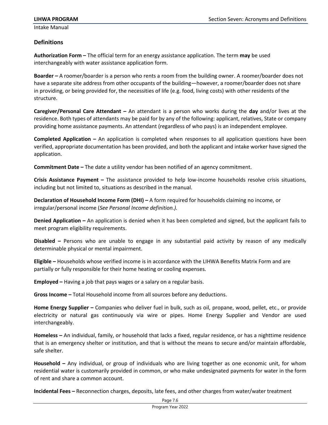### <span id="page-58-0"></span>**Definitions**

**Authorization Form –** The official term for an energy assistance application. The term **may** be used interchangeably with water assistance application form.

**Boarder –** A roomer/boarder is a person who rents a room from the building owner. A roomer/boarder does not have a separate site address from other occupants of the building—however, a roomer/boarder does not share in providing, or being provided for, the necessities of life (e.g. food, living costs) with other residents of the structure.

**Caregiver/Personal Care Attendant –** An attendant is a person who works during the **day** and/or lives at the residence. Both types of attendants may be paid for by any of the following: applicant, relatives, State or company providing home assistance payments. An attendant (regardless of who pays) is an independent employee.

**Completed Application –** An application is completed when responses to all application questions have been verified, appropriate documentation has been provided, and both the applicant and intake worker have signed the application.

**Commitment Date –** The date a utility vendor has been notified of an agency commitment.

**Crisis Assistance Payment –** The assistance provided to help low-income households resolve crisis situations, including but not limited to, situations as described in the manual.

**Declaration of Household Income Form (DHI) –** A form required for households claiming no income, or irregular/personal income (*See Personal Income definition.).*

**Denied Application –** An application is denied when it has been completed and signed, but the applicant fails to meet program eligibility requirements.

**Disabled –** Persons who are unable to engage in any substantial paid activity by reason of any medically determinable physical or mental impairment.

**Eligible –** Households whose verified income is in accordance with the LIHWA Benefits Matrix Form and are partially or fully responsible for their home heating or cooling expenses.

**Employed –** Having a job that pays wages or a salary on a regular basis.

**Gross Income –** Total Household income from all sources before any deductions.

**Home Energy Supplier –** Companies who deliver fuel in bulk, such as oil, propane, wood, pellet, etc., or provide electricity or natural gas continuously via wire or pipes. Home Energy Supplier and Vendor are used interchangeably.

**Homeless –** An individual, family, or household that lacks a fixed, regular residence, or has a nighttime residence that is an emergency shelter or institution, and that is without the means to secure and/or maintain affordable, safe shelter.

**Household –** Any individual, or group of individuals who are living together as one economic unit, for whom residential water is customarily provided in common, or who make undesignated payments for water in the form of rent and share a common account.

**Incidental Fees –** Reconnection charges, deposits, late fees, and other charges from water/water treatment

Page 7.6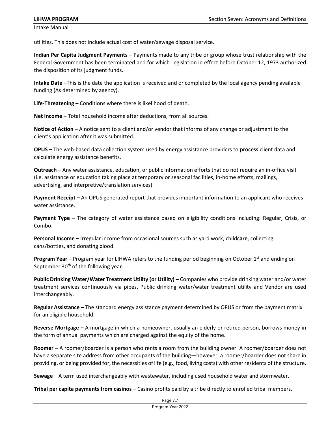utilities. This does not include actual cost of water/sewage disposal service.

**Indian Per Capita Judgment Payments –** Payments made to any tribe or group whose trust relationship with the Federal Government has been terminated and for which Legislation in effect before October 12, 1973 authorized the disposition of its judgment funds.

**Intake Date –**This is the date the application is received and or completed by the local agency pending available funding (As determined by agency).

**Life-Threatening –** Conditions where there is likelihood of death.

**Net Income –** Total household income after deductions, from all sources.

**Notice of Action –** A notice sent to a client and/or vendor that informs of any change or adjustment to the client's application after it was submitted.

**OPUS –** The web-based data collection system used by energy assistance providers to **process** client data and calculate energy assistance benefits.

**Outreach –** Any water assistance, education, or public information efforts that do not require an in-office visit (i.e. assistance or education taking place at temporary or seasonal facilities, in-home efforts, mailings, advertising, and interpretive/translation services).

**Payment Receipt –** An OPUS generated report that provides important information to an applicant who receives water assistance.

**Payment Type –** The category of water assistance based on eligibility conditions including: Regular, Crisis, or Combo.

**Personal Income –** Irregular income from occasional sources such as yard work, child**care**, collecting cans/bottles, and donating blood.

**Program Year** – Program year for LIHWA refers to the funding period beginning on October 1<sup>st</sup> and ending on September  $30<sup>th</sup>$  of the following year.

**Public Drinking Water/Water Treatment Utility (or Utility) –** Companies who provide drinking water and/or water treatment services continuously via pipes. Public drinking water/water treatment utility and Vendor are used interchangeably.

**Regular Assistance –** The standard energy assistance payment determined by OPUS or from the payment matrix for an eligible household.

**Reverse Mortgage –** A mortgage in which a homeowner, usually an elderly or retired person, borrows money in the form of annual payments which are charged against the equity of the home.

**Roomer –** A roomer/boarder is a person who rents a room from the building owner. A roomer/boarder does not have a separate site address from other occupants of the building—however, a roomer/boarder does not share in providing, or being provided for, the necessities of life (e.g., food, living costs) with other residents of the structure.

**Sewage** – A term used interchangeably with wastewater, including used household water and stormwater.

**Tribal per capita payments from casinos –** Casino profits paid by a tribe directly to enrolled tribal members.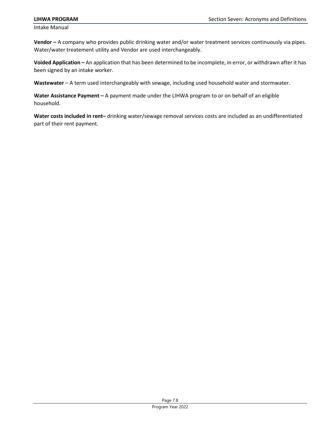**Vendor –** A company who provides public drinking water and/or water treatment services continuously via pipes. Water/water treatement utility and Vendor are used interchangeably.

**Voided Application –** An application that has been determined to be incomplete, in error, or withdrawn after it has been signed by an intake worker.

**Wastewater** – A term used interchangeably with sewage, including used household water and stormwater.

**Water Assistance Payment –** A payment made under the LIHWA program to or on behalf of an eligible household.

**Water costs included in rent–** drinking water/sewage removal services costs are included as an undifferentiated part of their rent payment.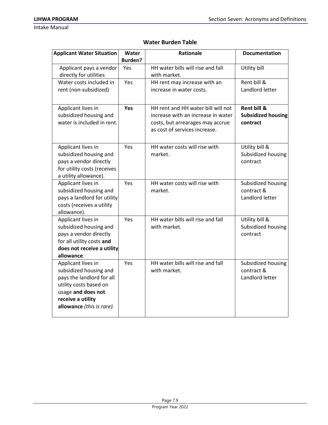<span id="page-61-0"></span>

| <b>Applicant Water Situation</b>                                                                                                                                            | Water<br><b>Burden?</b> | <b>Rationale</b>                                                                                                                              | <b>Documentation</b>                                 |
|-----------------------------------------------------------------------------------------------------------------------------------------------------------------------------|-------------------------|-----------------------------------------------------------------------------------------------------------------------------------------------|------------------------------------------------------|
| Applicant pays a vendor<br>directly for utilities                                                                                                                           | Yes                     | HH water bills will rise and fall<br>with market.                                                                                             | Utility bill                                         |
| Water costs included in<br>rent (non-subsidized)                                                                                                                            | Yes                     | HH rent may increase with an<br>increase in water costs.                                                                                      | Rent bill &<br>Landlord letter                       |
| Applicant lives in<br>subsidized housing and<br>water is included in rent.                                                                                                  | Yes                     | HH rent and HH water bill will not<br>increase with an increase in water<br>costs, but arrearages may accrue<br>as cost of services increase. | Rent bill &<br><b>Subsidized housing</b><br>contract |
| Applicant lives in<br>subsidized housing and<br>pays a vendor directly<br>for utility costs (receives<br>a utility allowance).                                              | Yes                     | HH water costs will rise with<br>market.                                                                                                      | Utility bill &<br>Subsidized housing<br>contract     |
| Applicant lives in<br>subsidized housing and<br>pays a landlord for utility<br>costs (receives a utility<br>allowance).                                                     | Yes                     | HH water costs will rise with<br>market.                                                                                                      | Subsidized housing<br>contract &<br>Landlord letter  |
| Applicant lives in<br>subsidized housing and<br>pays a vendor directly<br>for all utility costs and<br>does not receive a utility<br>allowance.                             | Yes                     | HH water bills will rise and fall<br>with market.                                                                                             | Utility bill &<br>Subsidized housing<br>contract     |
| Applicant lives in<br>subsidized housing and<br>pays the landlord for all<br>utility costs based on<br>usage and does not<br>receive a utility<br>allowance (this is rare). | Yes                     | HH water bills will rise and fall<br>with market.                                                                                             | Subsidized housing<br>contract &<br>Landlord letter  |

## **Water Burden Table**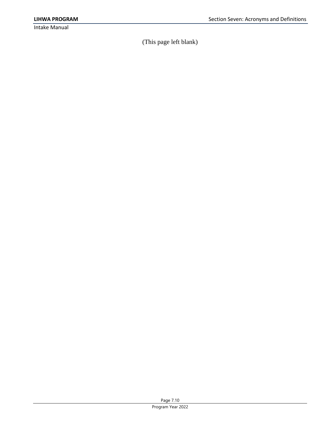(This page left blank)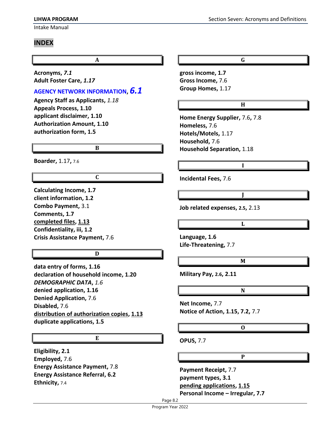### <span id="page-63-0"></span>**INDEX**

**A**

**Acronyms,** *7.1* **Adult Foster Care,** *1.17*

### **AGENCY NETWORK INFORMATION,** *6.1*

**Agency Staff as Applicants,** *1.18* **Appeals Process, 1.10 applicant disclaimer, 1.10 Authorization Amount, 1.10 authorization form, 1.5**

### **B**

**C**

**Boarder,** 1.17**,** 7.6

**Calculating Income, 1.7 client information, 1.2 Combo Payment,** 3.1 **Comments, 1.7 completed files, 1.13 Confidentiality, iii, 1.2 Crisis Assistance Payment,** 7.6

### **D**

**data entry of forms, 1.16 declaration of household income, 1.20** *DEMOGRAPHIC DATA***,** *1.6* **denied application, 1.16 Denied Application,** 7.6 **Disabled,** 7.6 **distribution of authorization copies, 1.13 duplicate applications, 1.5**

### **E**

**Eligibility, 2.1 Employed,** 7.6 **Energy Assistance Payment,** 7.8 **Energy Assistance Referral, 6.2 Ethnicity,** 7.4

### **gross income, 1.7 Gross Income,** 7.6 **Group Homes,** 1.17

### **H**

**G**

**Home Energy Supplier,** 7.6**,** 7.8 **Homeless,** 7.6 **Hotels/Motels,** 1.17 **Household,** 7.6 **Household Separation,** 1.18

**I**

**J**

**Incidental Fees,** 7.6

**Job related expenses, 2.5,** 2.13

### **L**

**Language, 1.6 Life-Threatening,** 7.7

### **M**

**Military Pay, 2.6, 2.11**

### **N**

**Net Income,** 7.7 **Notice of Action, 1.15, 7.2,** 7.7

### **O**

**OPUS,** 7.7

### **P**

**Payment Receipt,** 7.7 **payment types, 3.1 pending applications, 1.15 Personal Income – Irregular, 7.7**

Page 8.2